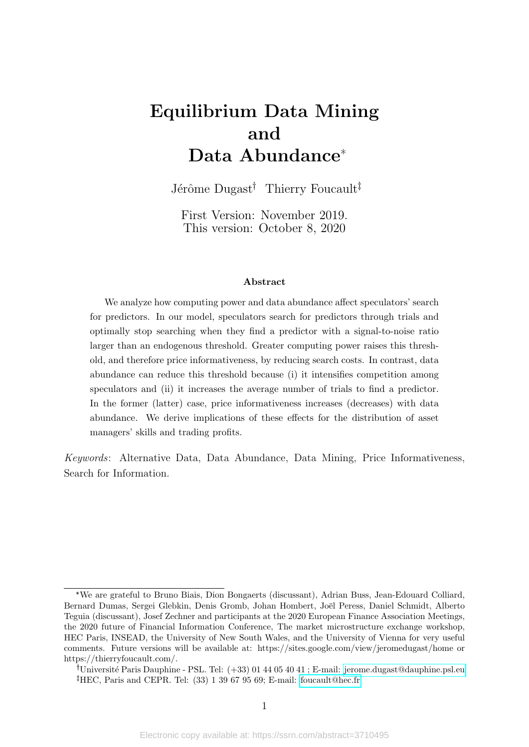# <span id="page-0-0"></span>Equilibrium Data Mining and Data Abundance\*

Jérôme Dugast<sup>†</sup> Thierry Foucault<sup>†</sup>

First Version: November 2019. This version: October 8, 2020

#### Abstract

We analyze how computing power and data abundance affect speculators' search for predictors. In our model, speculators search for predictors through trials and optimally stop searching when they find a predictor with a signal-to-noise ratio larger than an endogenous threshold. Greater computing power raises this threshold, and therefore price informativeness, by reducing search costs. In contrast, data abundance can reduce this threshold because (i) it intensifies competition among speculators and (ii) it increases the average number of trials to find a predictor. In the former (latter) case, price informativeness increases (decreases) with data abundance. We derive implications of these effects for the distribution of asset managers' skills and trading profits.

Keywords: Alternative Data, Data Abundance, Data Mining, Price Informativeness, Search for Information.

<sup>\*</sup>We are grateful to Bruno Biais, Dion Bongaerts (discussant), Adrian Buss, Jean-Edouard Colliard, Bernard Dumas, Sergei Glebkin, Denis Gromb, Johan Hombert, Joël Peress, Daniel Schmidt, Alberto Teguia (discussant), Josef Zechner and participants at the 2020 European Finance Association Meetings, the 2020 future of Financial Information Conference, The market microstructure exchange workshop, HEC Paris, INSEAD, the University of New South Wales, and the University of Vienna for very useful comments. Future versions will be available at: https://sites.google.com/view/jeromedugast/home or https://thierryfoucault.com/.

<sup>&</sup>lt;sup>†</sup>Université Paris Dauphine - PSL. Tel:  $(+33)$  01 44 05 40 41 ; E-mail: [jerome.dugast@dauphine.psl.eu](mailto:jerome.dugast@dauphine.psl.eu) <sup>‡</sup>HEC, Paris and CEPR. Tel:  $(33)$  1 39 67 95 69; E-mail: [foucault@hec.fr](mailto:foucault@hec.fr)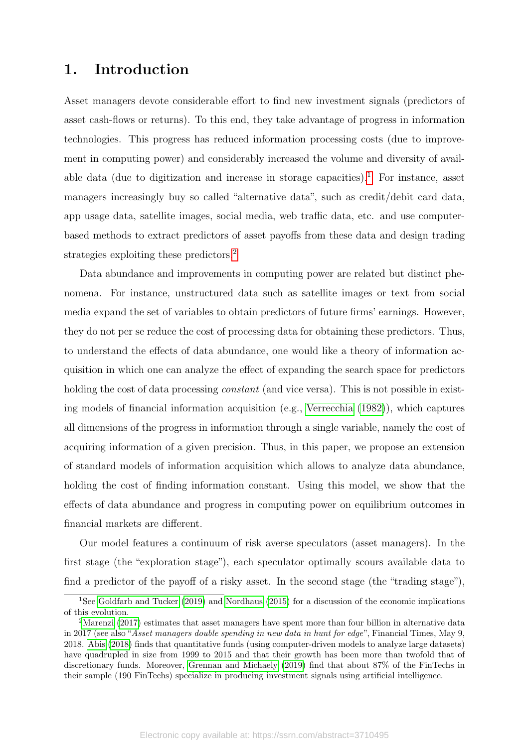# 1. Introduction

Asset managers devote considerable effort to find new investment signals (predictors of asset cash-flows or returns). To this end, they take advantage of progress in information technologies. This progress has reduced information processing costs (due to improvement in computing power) and considerably increased the volume and diversity of avail-able data (due to digitization and increase in storage capacities).<sup>[1](#page-1-0)</sup> For instance, asset managers increasingly buy so called "alternative data", such as credit/debit card data, app usage data, satellite images, social media, web traffic data, etc. and use computerbased methods to extract predictors of asset payoffs from these data and design trading strategies exploiting these predictors.<sup>[2](#page-1-1)</sup>

Data abundance and improvements in computing power are related but distinct phenomena. For instance, unstructured data such as satellite images or text from social media expand the set of variables to obtain predictors of future firms' earnings. However, they do not per se reduce the cost of processing data for obtaining these predictors. Thus, to understand the effects of data abundance, one would like a theory of information acquisition in which one can analyze the effect of expanding the search space for predictors holding the cost of data processing *constant* (and vice versa). This is not possible in existing models of financial information acquisition (e.g., [Verrecchia](#page-37-0) [\(1982\)](#page-37-0)), which captures all dimensions of the progress in information through a single variable, namely the cost of acquiring information of a given precision. Thus, in this paper, we propose an extension of standard models of information acquisition which allows to analyze data abundance, holding the cost of finding information constant. Using this model, we show that the effects of data abundance and progress in computing power on equilibrium outcomes in financial markets are different.

Our model features a continuum of risk averse speculators (asset managers). In the first stage (the "exploration stage"), each speculator optimally scours available data to find a predictor of the payoff of a risky asset. In the second stage (the "trading stage"),

<span id="page-1-0"></span><sup>&</sup>lt;sup>1</sup>See [Goldfarb and Tucker](#page-36-0) [\(2019\)](#page-36-0) and [Nordhaus](#page-37-1) [\(2015\)](#page-37-1) for a discussion of the economic implications of this evolution.

<span id="page-1-1"></span><sup>&</sup>lt;sup>2</sup>[Marenzi](#page-37-2) [\(2017\)](#page-37-2) estimates that asset managers have spent more than four billion in alternative data in 2017 (see also "Asset managers double spending in new data in hunt for edge", Financial Times, May 9, 2018. [Abis](#page-36-1) [\(2018\)](#page-36-1) finds that quantitative funds (using computer-driven models to analyze large datasets) have quadrupled in size from 1999 to 2015 and that their growth has been more than twofold that of discretionary funds. Moreover, [Grennan and Michaely](#page-36-2) [\(2019\)](#page-36-2) find that about 87% of the FinTechs in their sample (190 FinTechs) specialize in producing investment signals using artificial intelligence.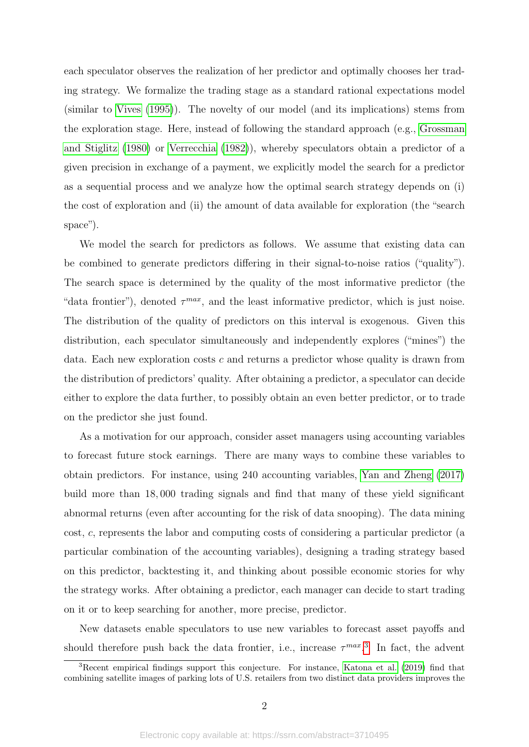each speculator observes the realization of her predictor and optimally chooses her trading strategy. We formalize the trading stage as a standard rational expectations model (similar to [Vives](#page-37-3) [\(1995\)](#page-37-3)). The novelty of our model (and its implications) stems from the exploration stage. Here, instead of following the standard approach (e.g., [Grossman](#page-36-3) [and Stiglitz](#page-36-3) [\(1980\)](#page-36-3) or [Verrecchia](#page-37-0) [\(1982\)](#page-37-0)), whereby speculators obtain a predictor of a given precision in exchange of a payment, we explicitly model the search for a predictor as a sequential process and we analyze how the optimal search strategy depends on (i) the cost of exploration and (ii) the amount of data available for exploration (the "search space").

We model the search for predictors as follows. We assume that existing data can be combined to generate predictors differing in their signal-to-noise ratios ("quality"). The search space is determined by the quality of the most informative predictor (the "data frontier"), denoted  $\tau^{max}$ , and the least informative predictor, which is just noise. The distribution of the quality of predictors on this interval is exogenous. Given this distribution, each speculator simultaneously and independently explores ("mines") the data. Each new exploration costs *c* and returns a predictor whose quality is drawn from the distribution of predictors' quality. After obtaining a predictor, a speculator can decide either to explore the data further, to possibly obtain an even better predictor, or to trade on the predictor she just found.

As a motivation for our approach, consider asset managers using accounting variables to forecast future stock earnings. There are many ways to combine these variables to obtain predictors. For instance, using 240 accounting variables, [Yan and Zheng](#page-37-4) [\(2017\)](#page-37-4) build more than 18*,* 000 trading signals and find that many of these yield significant abnormal returns (even after accounting for the risk of data snooping). The data mining cost, *c*, represents the labor and computing costs of considering a particular predictor (a particular combination of the accounting variables), designing a trading strategy based on this predictor, backtesting it, and thinking about possible economic stories for why the strategy works. After obtaining a predictor, each manager can decide to start trading on it or to keep searching for another, more precise, predictor.

New datasets enable speculators to use new variables to forecast asset payoffs and should therefore push back the data frontier, i.e., increase  $\tau^{max}$ <sup>[3](#page-2-0)</sup>. In fact, the advent

<span id="page-2-0"></span><sup>3</sup>Recent empirical findings support this conjecture. For instance, [Katona et al.](#page-37-5) [\(2019\)](#page-37-5) find that combining satellite images of parking lots of U.S. retailers from two distinct data providers improves the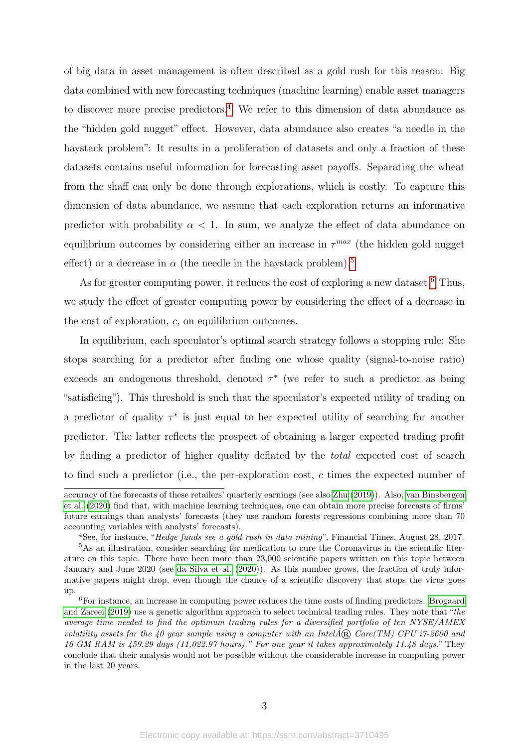of big data in asset management is often described as a gold rush for this reason: Big data combined with new forecasting techniques (machine learning) enable asset managers to discover more precise predictors.<sup>[4](#page-3-0)</sup> We refer to this dimension of data abundance as the "hidden gold nugget" effect. However, data abundance also creates "a needle in the haystack problem": It results in a proliferation of datasets and only a fraction of these datasets contains useful information for forecasting asset payoffs. Separating the wheat from the shaff can only be done through explorations, which is costly. To capture this dimension of data abundance, we assume that each exploration returns an informative predictor with probability  $\alpha < 1$ . In sum, we analyze the effect of data abundance on equilibrium outcomes by considering either an increase in *τ max* (the hidden gold nugget effect) or a decrease in  $\alpha$  (the needle in the haystack problem).<sup>[5](#page-3-1)</sup>

As for greater computing power, it reduces the cost of exploring a new dataset.<sup>[6](#page-3-2)</sup> Thus, we study the effect of greater computing power by considering the effect of a decrease in the cost of exploration, *c*, on equilibrium outcomes.

In equilibrium, each speculator's optimal search strategy follows a stopping rule: She stops searching for a predictor after finding one whose quality (signal-to-noise ratio) exceeds an endogenous threshold, denoted  $\tau^*$  (we refer to such a predictor as being "satisficing"). This threshold is such that the speculator's expected utility of trading on a predictor of quality  $\tau^*$  is just equal to her expected utility of searching for another predictor. The latter reflects the prospect of obtaining a larger expected trading profit by finding a predictor of higher quality deflated by the total expected cost of search to find such a predictor (i.e., the per-exploration cost, *c* times the expected number of

accuracy of the forecasts of these retailers' quarterly earnings (see also [Zhu](#page-37-6) [\(2019\)](#page-37-6)). Also, [van Binsbergen](#page-37-7) [et al.](#page-37-7) [\(2020\)](#page-37-7) find that, with machine learning techniques, one can obtain more precise forecasts of firms' future earnings than analysts' forecasts (they use random forests regressions combining more than 70 accounting variables with analysts' forecasts).

<span id="page-3-1"></span><span id="page-3-0"></span><sup>4</sup>See, for instance, "Hedge funds see a gold rush in data mining", Financial Times, August 28, 2017.

<sup>5</sup>As an illustration, consider searching for medication to cure the Coronavirus in the scientific literature on this topic. There have been more than 23,000 scientific papers written on this topic between January and June 2020 (see [da Silva et al.](#page-36-4) [\(2020\)](#page-36-4)). As this number grows, the fraction of truly informative papers might drop, even though the chance of a scientific discovery that stops the virus goes up.

<span id="page-3-2"></span><sup>6</sup>For instance, an increase in computing power reduces the time costs of finding predictors. [Brogaard](#page-36-5) [and Zareei](#page-36-5) [\(2019\)](#page-36-5) use a genetic algorithm approach to select technical trading rules. They note that "the average time needed to find the optimum trading rules for a diversified portfolio of ten NYSE/AMEX volatility assets for the 40 year sample using a computer with an Intel $\hat{A}$ **®** Core(TM) CPU i7-2600 and 16 GM RAM is 459.29 days (11,022.97 hours)." For one year it takes approximately 11.48 days." They conclude that their analysis would not be possible without the considerable increase in computing power in the last 20 years.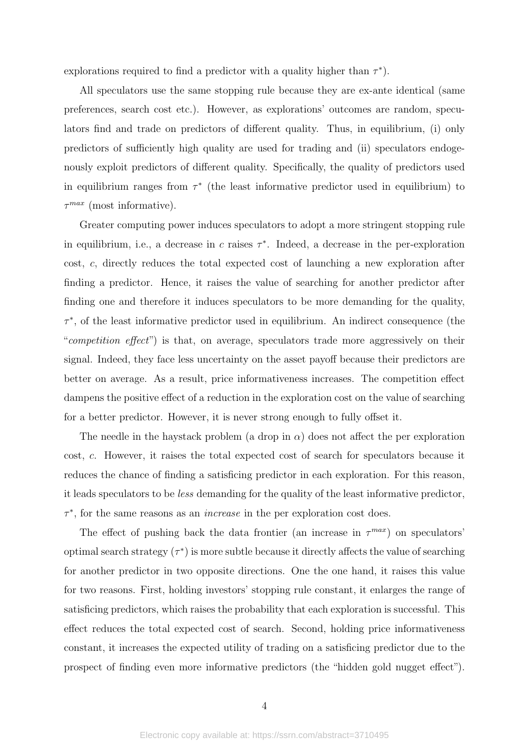explorations required to find a predictor with a quality higher than  $\tau^*$ ).

All speculators use the same stopping rule because they are ex-ante identical (same preferences, search cost etc.). However, as explorations' outcomes are random, speculators find and trade on predictors of different quality. Thus, in equilibrium, (i) only predictors of sufficiently high quality are used for trading and (ii) speculators endogenously exploit predictors of different quality. Specifically, the quality of predictors used in equilibrium ranges from  $\tau^*$  (the least informative predictor used in equilibrium) to *τ max* (most informative).

Greater computing power induces speculators to adopt a more stringent stopping rule in equilibrium, i.e., a decrease in *c* raises *τ* ∗ . Indeed, a decrease in the per-exploration cost, *c*, directly reduces the total expected cost of launching a new exploration after finding a predictor. Hence, it raises the value of searching for another predictor after finding one and therefore it induces speculators to be more demanding for the quality, *τ* ∗ , of the least informative predictor used in equilibrium. An indirect consequence (the "competition effect") is that, on average, speculators trade more aggressively on their signal. Indeed, they face less uncertainty on the asset payoff because their predictors are better on average. As a result, price informativeness increases. The competition effect dampens the positive effect of a reduction in the exploration cost on the value of searching for a better predictor. However, it is never strong enough to fully offset it.

The needle in the haystack problem (a drop in  $\alpha$ ) does not affect the per exploration cost, *c*. However, it raises the total expected cost of search for speculators because it reduces the chance of finding a satisficing predictor in each exploration. For this reason, it leads speculators to be less demanding for the quality of the least informative predictor, *τ* ∗ , for the same reasons as an increase in the per exploration cost does.

The effect of pushing back the data frontier (an increase in  $\tau^{max}$ ) on speculators' optimal search strategy  $(\tau^*)$  is more subtle because it directly affects the value of searching for another predictor in two opposite directions. One the one hand, it raises this value for two reasons. First, holding investors' stopping rule constant, it enlarges the range of satisficing predictors, which raises the probability that each exploration is successful. This effect reduces the total expected cost of search. Second, holding price informativeness constant, it increases the expected utility of trading on a satisficing predictor due to the prospect of finding even more informative predictors (the "hidden gold nugget effect").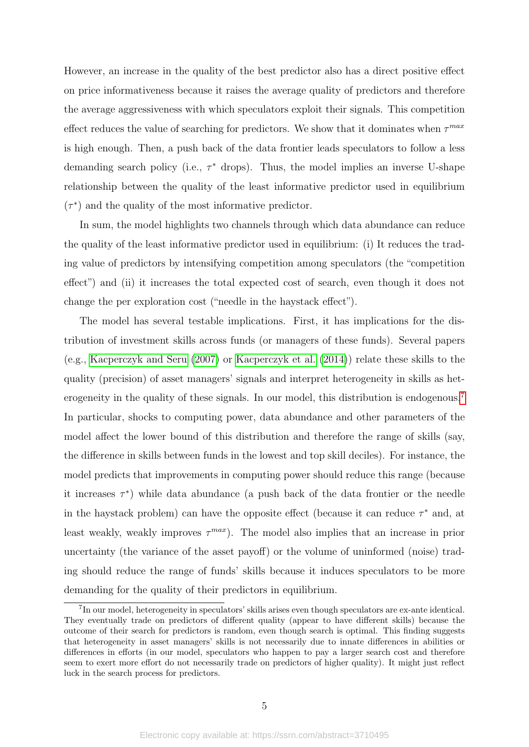However, an increase in the quality of the best predictor also has a direct positive effect on price informativeness because it raises the average quality of predictors and therefore the average aggressiveness with which speculators exploit their signals. This competition effect reduces the value of searching for predictors. We show that it dominates when *τ max* is high enough. Then, a push back of the data frontier leads speculators to follow a less demanding search policy (i.e.,  $\tau^*$  drops). Thus, the model implies an inverse U-shape relationship between the quality of the least informative predictor used in equilibrium  $(\tau^*)$  and the quality of the most informative predictor.

In sum, the model highlights two channels through which data abundance can reduce the quality of the least informative predictor used in equilibrium: (i) It reduces the trading value of predictors by intensifying competition among speculators (the "competition effect") and (ii) it increases the total expected cost of search, even though it does not change the per exploration cost ("needle in the haystack effect").

The model has several testable implications. First, it has implications for the distribution of investment skills across funds (or managers of these funds). Several papers (e.g., [Kacperczyk and Seru](#page-37-8) [\(2007\)](#page-37-8) or [Kacperczyk et al.](#page-37-9) [\(2014\)](#page-37-9)) relate these skills to the quality (precision) of asset managers' signals and interpret heterogeneity in skills as het-erogeneity in the quality of these signals. In our model, this distribution is endogenous.<sup>[7](#page-5-0)</sup> In particular, shocks to computing power, data abundance and other parameters of the model affect the lower bound of this distribution and therefore the range of skills (say, the difference in skills between funds in the lowest and top skill deciles). For instance, the model predicts that improvements in computing power should reduce this range (because it increases  $\tau^*$ ) while data abundance (a push back of the data frontier or the needle in the haystack problem) can have the opposite effect (because it can reduce  $\tau^*$  and, at least weakly, weakly improves  $\tau^{max}$ ). The model also implies that an increase in prior uncertainty (the variance of the asset payoff) or the volume of uninformed (noise) trading should reduce the range of funds' skills because it induces speculators to be more demanding for the quality of their predictors in equilibrium.

<span id="page-5-0"></span><sup>&</sup>lt;sup>7</sup>In our model, heterogeneity in speculators' skills arises even though speculators are ex-ante identical. They eventually trade on predictors of different quality (appear to have different skills) because the outcome of their search for predictors is random, even though search is optimal. This finding suggests that heterogeneity in asset managers' skills is not necessarily due to innate differences in abilities or differences in efforts (in our model, speculators who happen to pay a larger search cost and therefore seem to exert more effort do not necessarily trade on predictors of higher quality). It might just reflect luck in the search process for predictors.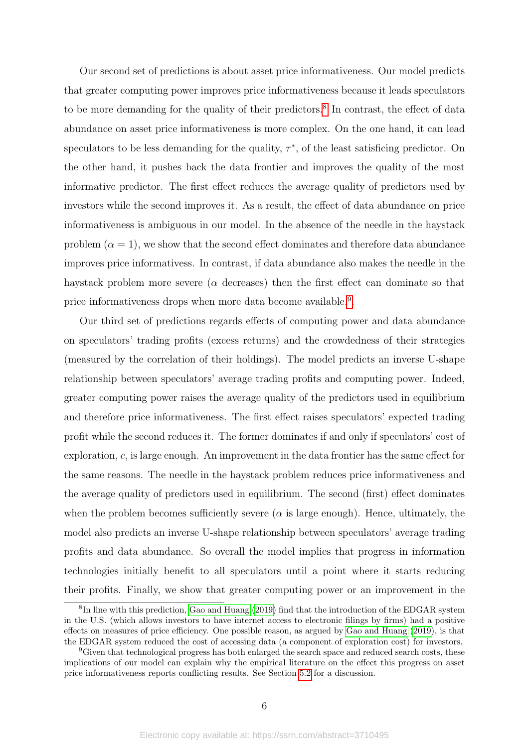Our second set of predictions is about asset price informativeness. Our model predicts that greater computing power improves price informativeness because it leads speculators to be more demanding for the quality of their predictors.<sup>[8](#page-6-0)</sup> In contrast, the effect of data abundance on asset price informativeness is more complex. On the one hand, it can lead speculators to be less demanding for the quality,  $\tau^*$ , of the least satisficing predictor. On the other hand, it pushes back the data frontier and improves the quality of the most informative predictor. The first effect reduces the average quality of predictors used by investors while the second improves it. As a result, the effect of data abundance on price informativeness is ambiguous in our model. In the absence of the needle in the haystack problem  $(\alpha = 1)$ , we show that the second effect dominates and therefore data abundance improves price informativess. In contrast, if data abundance also makes the needle in the haystack problem more severe (*α* decreases) then the first effect can dominate so that price informativeness drops when more data become available.<sup>[9](#page-6-1)</sup>.

Our third set of predictions regards effects of computing power and data abundance on speculators' trading profits (excess returns) and the crowdedness of their strategies (measured by the correlation of their holdings). The model predicts an inverse U-shape relationship between speculators' average trading profits and computing power. Indeed, greater computing power raises the average quality of the predictors used in equilibrium and therefore price informativeness. The first effect raises speculators' expected trading profit while the second reduces it. The former dominates if and only if speculators' cost of exploration, *c*, is large enough. An improvement in the data frontier has the same effect for the same reasons. The needle in the haystack problem reduces price informativeness and the average quality of predictors used in equilibrium. The second (first) effect dominates when the problem becomes sufficiently severe ( $\alpha$  is large enough). Hence, ultimately, the model also predicts an inverse U-shape relationship between speculators' average trading profits and data abundance. So overall the model implies that progress in information technologies initially benefit to all speculators until a point where it starts reducing their profits. Finally, we show that greater computing power or an improvement in the

<span id="page-6-0"></span><sup>&</sup>lt;sup>8</sup>In line with this prediction, [Gao and Huang](#page-36-6) [\(2019\)](#page-36-6) find that the introduction of the EDGAR system in the U.S. (which allows investors to have internet access to electronic filings by firms) had a positive effects on measures of price efficiency. One possible reason, as argued by [Gao and Huang](#page-36-6) [\(2019\)](#page-36-6), is that the EDGAR system reduced the cost of accessing data (a component of exploration cost) for investors.

<span id="page-6-1"></span><sup>&</sup>lt;sup>9</sup>Given that technological progress has both enlarged the search space and reduced search costs, these implications of our model can explain why the empirical literature on the effect this progress on asset price informativeness reports conflicting results. See Section [5.2](#page-24-0) for a discussion.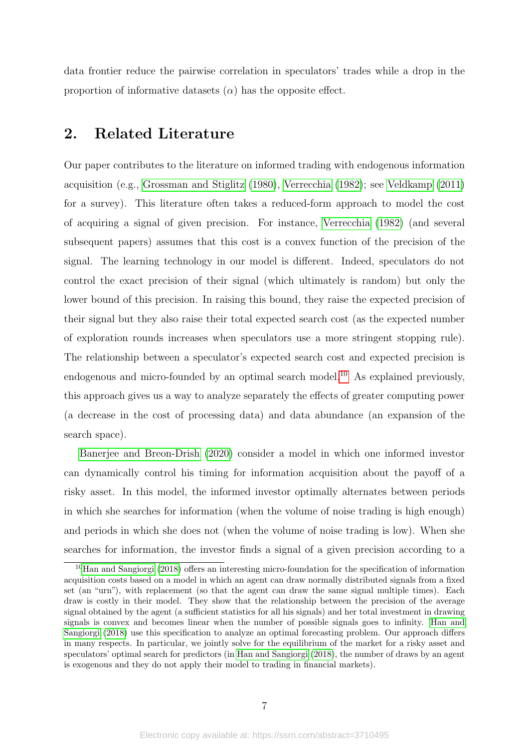data frontier reduce the pairwise correlation in speculators' trades while a drop in the proportion of informative datasets  $(\alpha)$  has the opposite effect.

## 2. Related Literature

Our paper contributes to the literature on informed trading with endogenous information acquisition (e.g., [Grossman and Stiglitz](#page-36-3) [\(1980\)](#page-36-3), [Verrecchia](#page-37-0) [\(1982\)](#page-37-0); see [Veldkamp](#page-37-10) [\(2011\)](#page-37-10) for a survey). This literature often takes a reduced-form approach to model the cost of acquiring a signal of given precision. For instance, [Verrecchia](#page-37-0) [\(1982\)](#page-37-0) (and several subsequent papers) assumes that this cost is a convex function of the precision of the signal. The learning technology in our model is different. Indeed, speculators do not control the exact precision of their signal (which ultimately is random) but only the lower bound of this precision. In raising this bound, they raise the expected precision of their signal but they also raise their total expected search cost (as the expected number of exploration rounds increases when speculators use a more stringent stopping rule). The relationship between a speculator's expected search cost and expected precision is endogenous and micro-founded by an optimal search model.<sup>[10](#page-7-0)</sup> As explained previously, this approach gives us a way to analyze separately the effects of greater computing power (a decrease in the cost of processing data) and data abundance (an expansion of the search space).

[Banerjee and Breon-Drish](#page-36-7) [\(2020\)](#page-36-7) consider a model in which one informed investor can dynamically control his timing for information acquisition about the payoff of a risky asset. In this model, the informed investor optimally alternates between periods in which she searches for information (when the volume of noise trading is high enough) and periods in which she does not (when the volume of noise trading is low). When she searches for information, the investor finds a signal of a given precision according to a

<span id="page-7-0"></span><sup>10</sup>[Han and Sangiorgi](#page-36-8) [\(2018\)](#page-36-8) offers an interesting micro-foundation for the specification of information acquisition costs based on a model in which an agent can draw normally distributed signals from a fixed set (an "urn"), with replacement (so that the agent can draw the same signal multiple times). Each draw is costly in their model. They show that the relationship between the precision of the average signal obtained by the agent (a sufficient statistics for all his signals) and her total investment in drawing signals is convex and becomes linear when the number of possible signals goes to infinity. [Han and](#page-36-8) [Sangiorgi](#page-36-8) [\(2018\)](#page-36-8) use this specification to analyze an optimal forecasting problem. Our approach differs in many respects. In particular, we jointly solve for the equilibrium of the market for a risky asset and speculators' optimal search for predictors (in [Han and Sangiorgi](#page-36-8) [\(2018\)](#page-36-8), the number of draws by an agent is exogenous and they do not apply their model to trading in financial markets).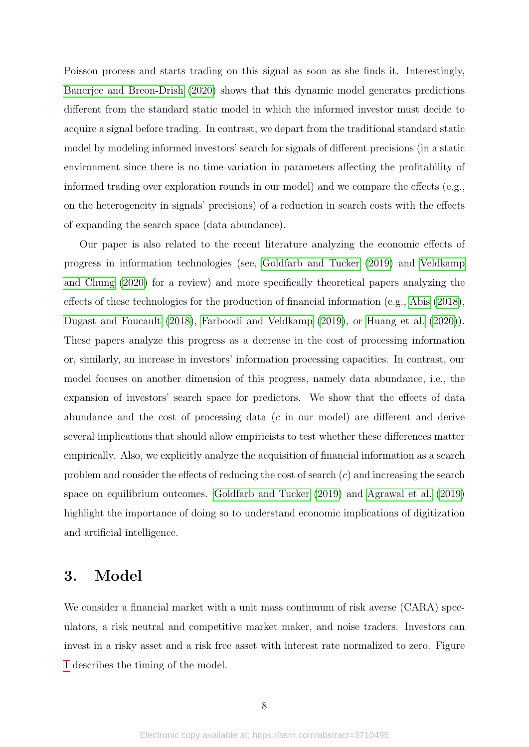Poisson process and starts trading on this signal as soon as she finds it. Interestingly, [Banerjee and Breon-Drish](#page-36-7) [\(2020\)](#page-36-7) shows that this dynamic model generates predictions different from the standard static model in which the informed investor must decide to acquire a signal before trading. In contrast, we depart from the traditional standard static model by modeling informed investors' search for signals of different precisions (in a static environment since there is no time-variation in parameters affecting the profitability of informed trading over exploration rounds in our model) and we compare the effects (e.g., on the heterogeneity in signals' precisions) of a reduction in search costs with the effects of expanding the search space (data abundance).

Our paper is also related to the recent literature analyzing the economic effects of progress in information technologies (see, [Goldfarb and Tucker](#page-36-0) [\(2019\)](#page-36-0) and [Veldkamp](#page-37-11) [and Chung](#page-37-11) [\(2020\)](#page-37-11) for a review) and more specifically theoretical papers analyzing the effects of these technologies for the production of financial information (e.g., [Abis](#page-36-1) [\(2018\)](#page-36-1), [Dugast and Foucault](#page-36-9) [\(2018\)](#page-36-9), [Farboodi and Veldkamp](#page-36-10) [\(2019\)](#page-36-10), or [Huang et al.](#page-37-12) [\(2020\)](#page-37-12)). These papers analyze this progress as a decrease in the cost of processing information or, similarly, an increase in investors' information processing capacities. In contrast, our model focuses on another dimension of this progress, namely data abundance, i.e., the expansion of investors' search space for predictors. We show that the effects of data abundance and the cost of processing data (*c* in our model) are different and derive several implications that should allow empiricists to test whether these differences matter empirically. Also, we explicitly analyze the acquisition of financial information as a search problem and consider the effects of reducing the cost of search (*c*) and increasing the search space on equilibrium outcomes. [Goldfarb and Tucker](#page-36-0) [\(2019\)](#page-36-0) and [Agrawal et al.](#page-36-11) [\(2019\)](#page-36-11) highlight the importance of doing so to understand economic implications of digitization and artificial intelligence.

## 3. Model

We consider a financial market with a unit mass continuum of risk averse (CARA) speculators, a risk neutral and competitive market maker, and noise traders. Investors can invest in a risky asset and a risk free asset with interest rate normalized to zero. Figure [1](#page-9-0) describes the timing of the model.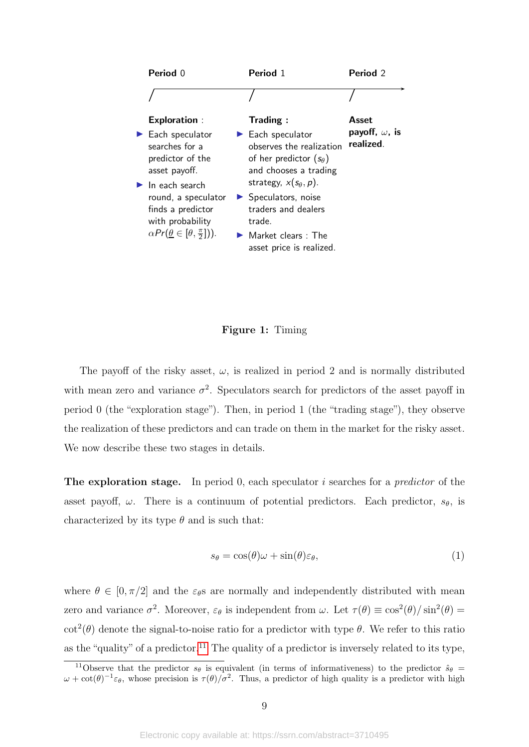<span id="page-9-0"></span>

| Period 0                                                                                                                                                    | Period 1                                                                                                                                                                         | Period 2                                    |
|-------------------------------------------------------------------------------------------------------------------------------------------------------------|----------------------------------------------------------------------------------------------------------------------------------------------------------------------------------|---------------------------------------------|
|                                                                                                                                                             |                                                                                                                                                                                  |                                             |
| <b>Exploration:</b><br>$\blacktriangleright$ Each speculator<br>searches for a<br>predictor of the<br>asset payoff.<br>$\blacktriangleright$ In each search | <b>Trading:</b><br>$\blacktriangleright$ Each speculator<br>observes the realization<br>of her predictor $(s_{\theta})$<br>and chooses a trading<br>strategy, $x(s_\theta, p)$ . | Asset<br>payoff, $\omega$ , is<br>realized. |
| round, a speculator<br>finds a predictor<br>with probability<br>$\alpha Pr(\underline{\theta} \in [\theta, \frac{\pi}{2}])$ .                               | $\blacktriangleright$ Speculators, noise<br>traders and dealers<br>trade.<br>$\blacktriangleright$ Market clears : The<br>asset price is realized.                               |                                             |

#### Figure 1: Timing

The payoff of the risky asset,  $\omega$ , is realized in period 2 and is normally distributed with mean zero and variance  $\sigma^2$ . Speculators search for predictors of the asset payoff in period 0 (the "exploration stage"). Then, in period 1 (the "trading stage"), they observe the realization of these predictors and can trade on them in the market for the risky asset. We now describe these two stages in details.

The exploration stage. In period 0, each speculator *i* searches for a predictor of the asset payoff,  $\omega$ . There is a continuum of potential predictors. Each predictor,  $s_{\theta}$ , is characterized by its type  $\theta$  and is such that:

$$
s_{\theta} = \cos(\theta)\omega + \sin(\theta)\varepsilon_{\theta},\tag{1}
$$

where  $\theta \in [0, \pi/2]$  and the  $\varepsilon_{\theta}$ s are normally and independently distributed with mean zero and variance  $\sigma^2$ . Moreover,  $\varepsilon_{\theta}$  is independent from  $\omega$ . Let  $\tau(\theta) \equiv \cos^2(\theta)/\sin^2(\theta) =$ cot<sup>2</sup>( $\theta$ ) denote the signal-to-noise ratio for a predictor with type  $\theta$ . We refer to this ratio as the "quality" of a predictor.<sup>[11](#page-9-1)</sup> The quality of a predictor is inversely related to its type,

<span id="page-9-1"></span><sup>&</sup>lt;sup>11</sup>Observe that the predictor  $s_{\theta}$  is equivalent (in terms of informativeness) to the predictor  $\hat{s}_{\theta}$  =  $\omega + \cot(\theta)^{-1} \varepsilon_{\theta}$ , whose precision is  $\tau(\theta)/\sigma^2$ . Thus, a predictor of high quality is a predictor with high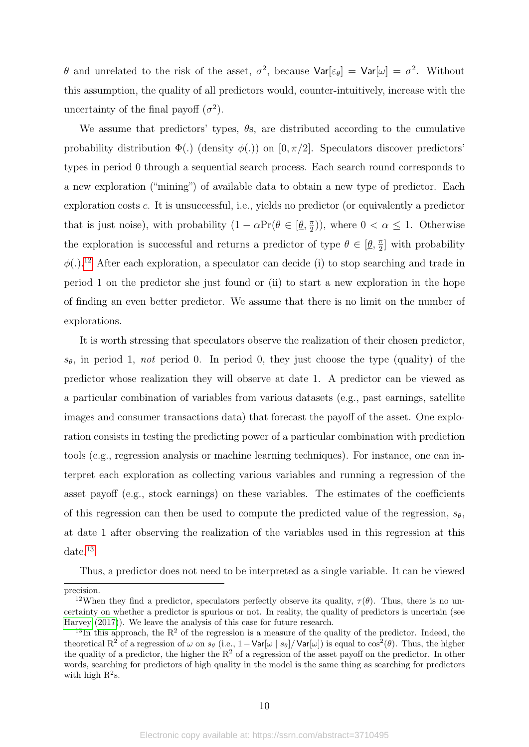*θ* and unrelated to the risk of the asset,  $\sigma^2$ , because  $\text{Var}[\varepsilon_\theta] = \text{Var}[\omega] = \sigma^2$ . Without this assumption, the quality of all predictors would, counter-intuitively, increase with the uncertainty of the final payoff  $(\sigma^2)$ .

We assume that predictors' types, *θ*s, are distributed according to the cumulative probability distribution  $\Phi(.)$  (density  $\phi(.)$ ) on  $[0, \pi/2]$ . Speculators discover predictors' types in period 0 through a sequential search process. Each search round corresponds to a new exploration ("mining") of available data to obtain a new type of predictor. Each exploration costs *c*. It is unsuccessful, i.e., yields no predictor (or equivalently a predictor that is just noise), with probability  $(1 - \alpha Pr(\theta \in [\underline{\theta}, \frac{\pi}{2}])$  $(\frac{\pi}{2})$ , where  $0 < \alpha \leq 1$ . Otherwise the exploration is successful and returns a predictor of type  $\theta \in [\underline{\theta}, \frac{\pi}{2}]$  $\frac{\pi}{2}$  with probability *φ*(*.*). [12](#page-10-0) After each exploration, a speculator can decide (i) to stop searching and trade in period 1 on the predictor she just found or (ii) to start a new exploration in the hope of finding an even better predictor. We assume that there is no limit on the number of explorations.

It is worth stressing that speculators observe the realization of their chosen predictor, *sθ*, in period 1, not period 0. In period 0, they just choose the type (quality) of the predictor whose realization they will observe at date 1. A predictor can be viewed as a particular combination of variables from various datasets (e.g., past earnings, satellite images and consumer transactions data) that forecast the payoff of the asset. One exploration consists in testing the predicting power of a particular combination with prediction tools (e.g., regression analysis or machine learning techniques). For instance, one can interpret each exploration as collecting various variables and running a regression of the asset payoff (e.g., stock earnings) on these variables. The estimates of the coefficients of this regression can then be used to compute the predicted value of the regression,  $s_{\theta}$ , at date 1 after observing the realization of the variables used in this regression at this date.[13](#page-10-1)

Thus, a predictor does not need to be interpreted as a single variable. It can be viewed

precision.

<span id="page-10-0"></span><sup>&</sup>lt;sup>12</sup>When they find a predictor, speculators perfectly observe its quality,  $\tau(\theta)$ . Thus, there is no uncertainty on whether a predictor is spurious or not. In reality, the quality of predictors is uncertain (see [Harvey](#page-36-12) [\(2017\)](#page-36-12)). We leave the analysis of this case for future research.

<span id="page-10-1"></span><sup>&</sup>lt;sup>13</sup>In this approach, the  $R^2$  of the regression is a measure of the quality of the predictor. Indeed, the theoretical  $R^2$  of a regression of  $\omega$  on  $s_\theta$  (i.e., 1 - Var[ $\omega$  |  $s_\theta$ ]/Var[ $\omega$ ]) is equal to  $\cos^2(\theta)$ . Thus, the higher the quality of a predictor, the higher the  $R^2$  of a regression of the asset payoff on the predictor. In other words, searching for predictors of high quality in the model is the same thing as searching for predictors with high  $R^2$ s.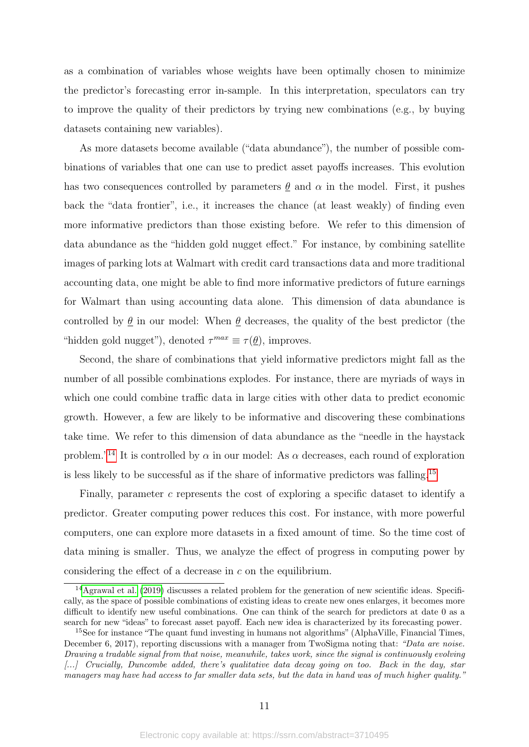as a combination of variables whose weights have been optimally chosen to minimize the predictor's forecasting error in-sample. In this interpretation, speculators can try to improve the quality of their predictors by trying new combinations (e.g., by buying datasets containing new variables).

As more datasets become available ("data abundance"), the number of possible combinations of variables that one can use to predict asset payoffs increases. This evolution has two consequences controlled by parameters  $\theta$  and  $\alpha$  in the model. First, it pushes back the "data frontier", i.e., it increases the chance (at least weakly) of finding even more informative predictors than those existing before. We refer to this dimension of data abundance as the "hidden gold nugget effect." For instance, by combining satellite images of parking lots at Walmart with credit card transactions data and more traditional accounting data, one might be able to find more informative predictors of future earnings for Walmart than using accounting data alone. This dimension of data abundance is controlled by  $\theta$  in our model: When  $\theta$  decreases, the quality of the best predictor (the "hidden gold nugget"), denoted  $\tau^{max} \equiv \tau(\underline{\theta})$ , improves.

Second, the share of combinations that yield informative predictors might fall as the number of all possible combinations explodes. For instance, there are myriads of ways in which one could combine traffic data in large cities with other data to predict economic growth. However, a few are likely to be informative and discovering these combinations take time. We refer to this dimension of data abundance as the "needle in the haystack problem.<sup>"[14](#page-11-0)</sup> It is controlled by  $\alpha$  in our model: As  $\alpha$  decreases, each round of exploration is less likely to be successful as if the share of informative predictors was falling.[15](#page-11-1)

Finally, parameter *c* represents the cost of exploring a specific dataset to identify a predictor. Greater computing power reduces this cost. For instance, with more powerful computers, one can explore more datasets in a fixed amount of time. So the time cost of data mining is smaller. Thus, we analyze the effect of progress in computing power by considering the effect of a decrease in *c* on the equilibrium.

<span id="page-11-0"></span><sup>14</sup>[Agrawal et al.](#page-36-11) [\(2019\)](#page-36-11) discusses a related problem for the generation of new scientific ideas. Specifically, as the space of possible combinations of existing ideas to create new ones enlarges, it becomes more difficult to identify new useful combinations. One can think of the search for predictors at date 0 as a search for new "ideas" to forecast asset payoff. Each new idea is characterized by its forecasting power.

<span id="page-11-1"></span><sup>&</sup>lt;sup>15</sup>See for instance "The quant fund investing in humans not algorithms" (AlphaVille, Financial Times, December 6, 2017), reporting discussions with a manager from TwoSigma noting that: "Data are noise. Drawing a tradable signal from that noise, meanwhile, takes work, since the signal is continuously evolving [...] Crucially, Duncombe added, there's qualitative data decay going on too. Back in the day, star managers may have had access to far smaller data sets, but the data in hand was of much higher quality."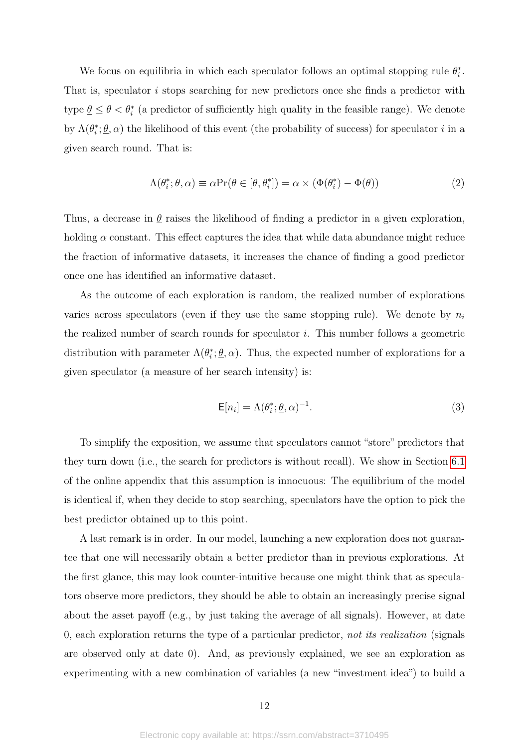We focus on equilibria in which each speculator follows an optimal stopping rule  $\theta_i^*$ . That is, speculator *i* stops searching for new predictors once she finds a predictor with type  $\underline{\theta} \leq \theta < \theta_i^*$  (a predictor of sufficiently high quality in the feasible range). We denote by  $\Lambda(\theta_i^*, \underline{\theta}, \alpha)$  the likelihood of this event (the probability of success) for speculator *i* in a given search round. That is:

$$
\Lambda(\theta_i^*, \underline{\theta}, \alpha) \equiv \alpha \Pr(\theta \in [\underline{\theta}, \theta_i^*]) = \alpha \times (\Phi(\theta_i^*) - \Phi(\underline{\theta})) \tag{2}
$$

Thus, a decrease in  $\theta$  raises the likelihood of finding a predictor in a given exploration, holding  $\alpha$  constant. This effect captures the idea that while data abundance might reduce the fraction of informative datasets, it increases the chance of finding a good predictor once one has identified an informative dataset.

As the outcome of each exploration is random, the realized number of explorations varies across speculators (even if they use the same stopping rule). We denote by  $n_i$ the realized number of search rounds for speculator *i*. This number follows a geometric distribution with parameter  $\Lambda(\theta_i^*;\underline{\theta},\alpha)$ . Thus, the expected number of explorations for a given speculator (a measure of her search intensity) is:

<span id="page-12-0"></span>
$$
\mathsf{E}[n_i] = \Lambda(\theta_i^*; \underline{\theta}, \alpha)^{-1}.
$$
\n(3)

To simplify the exposition, we assume that speculators cannot "store" predictors that they turn down (i.e., the search for predictors is without recall). We show in Section [6.1](#page-0-0) of the online appendix that this assumption is innocuous: The equilibrium of the model is identical if, when they decide to stop searching, speculators have the option to pick the best predictor obtained up to this point.

A last remark is in order. In our model, launching a new exploration does not guarantee that one will necessarily obtain a better predictor than in previous explorations. At the first glance, this may look counter-intuitive because one might think that as speculators observe more predictors, they should be able to obtain an increasingly precise signal about the asset payoff (e.g., by just taking the average of all signals). However, at date 0, each exploration returns the type of a particular predictor, not its realization (signals are observed only at date 0). And, as previously explained, we see an exploration as experimenting with a new combination of variables (a new "investment idea") to build a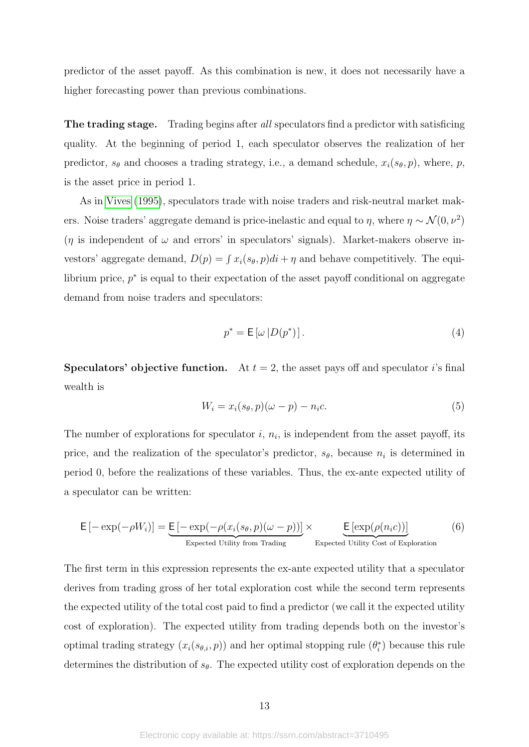predictor of the asset payoff. As this combination is new, it does not necessarily have a higher forecasting power than previous combinations.

The trading stage. Trading begins after all speculators find a predictor with satisficing quality. At the beginning of period 1, each speculator observes the realization of her predictor,  $s_{\theta}$  and chooses a trading strategy, i.e., a demand schedule,  $x_i(s_{\theta}, p)$ , where, *p*, is the asset price in period 1.

As in [Vives](#page-37-3) [\(1995\)](#page-37-3), speculators trade with noise traders and risk-neutral market makers. Noise traders' aggregate demand is price-inelastic and equal to  $\eta$ , where  $\eta \sim \mathcal{N}(0, \nu^2)$  $(\eta$  is independent of  $\omega$  and errors' in speculators' signals). Market-makers observe investors' aggregate demand,  $D(p) = \int x_i(s_\theta, p)di + \eta$  and behave competitively. The equilibrium price,  $p^*$  is equal to their expectation of the asset payoff conditional on aggregate demand from noise traders and speculators:

$$
p^* = \mathsf{E}\left[\omega \left| D(p^*)\right.\right].\tag{4}
$$

**Speculators' objective function.** At  $t = 2$ , the asset pays off and speculator *i*'s final wealth is

$$
W_i = x_i(s_\theta, p)(\omega - p) - n_i c. \tag{5}
$$

The number of explorations for speculator  $i, n_i$ , is independent from the asset payoff, its price, and the realization of the speculator's predictor,  $s_{\theta}$ , because  $n_i$  is determined in period 0, before the realizations of these variables. Thus, the ex-ante expected utility of a speculator can be written:

$$
\mathsf{E}\left[-\exp(-\rho W_i)\right] = \underbrace{\mathsf{E}\left[-\exp(-\rho (x_i(s_\theta, p)(\omega - p))\right]}_{\text{Expected Utility from Trading}} \times \underbrace{\mathsf{E}\left[\exp(\rho (n_i c))\right]}_{\text{Expected Utility Cost of Exploration}} \tag{6}
$$

The first term in this expression represents the ex-ante expected utility that a speculator derives from trading gross of her total exploration cost while the second term represents the expected utility of the total cost paid to find a predictor (we call it the expected utility cost of exploration). The expected utility from trading depends both on the investor's optimal trading strategy  $(x_i(s_{\theta,i}, p))$  and her optimal stopping rule  $(\theta_i^*)$  because this rule determines the distribution of  $s_{\theta}$ . The expected utility cost of exploration depends on the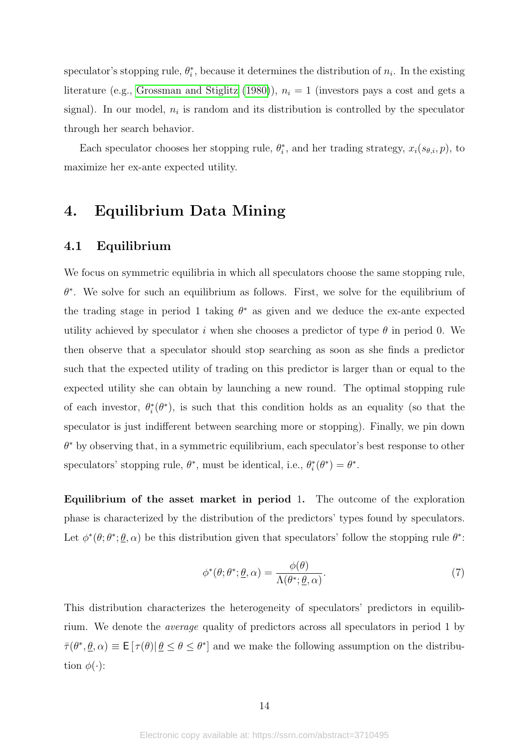speculator's stopping rule,  $\theta_i^*$ , because it determines the distribution of  $n_i$ . In the existing literature (e.g., [Grossman and Stiglitz](#page-36-3)  $(1980)$ ),  $n<sub>i</sub> = 1$  (investors pays a cost and gets a signal). In our model,  $n_i$  is random and its distribution is controlled by the speculator through her search behavior.

Each speculator chooses her stopping rule,  $\theta_i^*$ , and her trading strategy,  $x_i(s_{\theta,i}, p)$ , to maximize her ex-ante expected utility.

# <span id="page-14-0"></span>4. Equilibrium Data Mining

## <span id="page-14-1"></span>4.1 Equilibrium

We focus on symmetric equilibria in which all speculators choose the same stopping rule, *θ* ∗ . We solve for such an equilibrium as follows. First, we solve for the equilibrium of the trading stage in period 1 taking  $\theta^*$  as given and we deduce the ex-ante expected utility achieved by speculator *i* when she chooses a predictor of type  $\theta$  in period 0. We then observe that a speculator should stop searching as soon as she finds a predictor such that the expected utility of trading on this predictor is larger than or equal to the expected utility she can obtain by launching a new round. The optimal stopping rule of each investor,  $\theta_i^*(\theta^*)$ , is such that this condition holds as an equality (so that the speculator is just indifferent between searching more or stopping). Finally, we pin down *θ* <sup>∗</sup> by observing that, in a symmetric equilibrium, each speculator's best response to other speculators' stopping rule,  $\theta^*$ , must be identical, i.e.,  $\theta_i^*(\theta^*) = \theta^*$ .

Equilibrium of the asset market in period 1. The outcome of the exploration phase is characterized by the distribution of the predictors' types found by speculators. Let  $\phi^*(\theta; \theta^*; \underline{\theta}, \alpha)$  be this distribution given that speculators' follow the stopping rule  $\theta^*$ .

$$
\phi^*(\theta; \theta^*; \underline{\theta}, \alpha) = \frac{\phi(\theta)}{\Lambda(\theta^*; \underline{\theta}, \alpha)}.
$$
\n(7)

This distribution characterizes the heterogeneity of speculators' predictors in equilibrium. We denote the average quality of predictors across all speculators in period 1 by  $\bar{\tau}(\theta^*, \underline{\theta}, \alpha) \equiv \mathsf{E}[\tau(\theta)| \underline{\theta} \leq \theta \leq \theta^*]$  and we make the following assumption on the distribution  $\phi(\cdot)$ :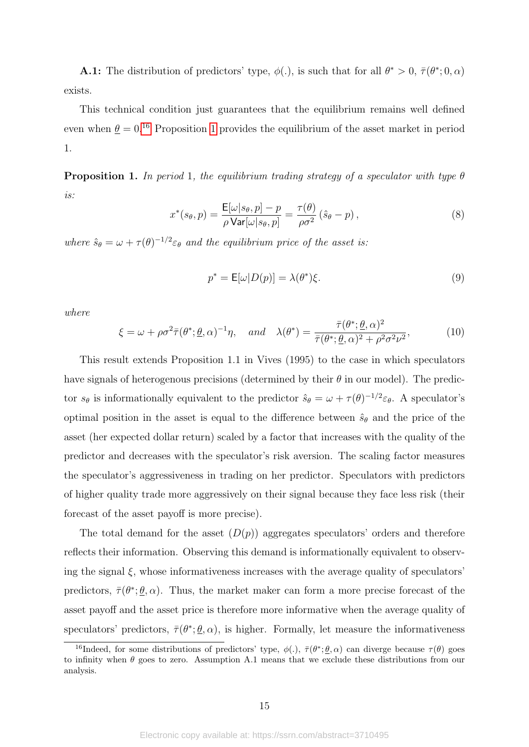**A.1:** The distribution of predictors' type,  $\phi(.)$ , is such that for all  $\theta^* > 0$ ,  $\bar{\tau}(\theta^*; 0, \alpha)$ exists.

This technical condition just guarantees that the equilibrium remains well defined even when  $\theta = 0$ <sup>[16](#page-15-0)</sup> Proposition [1](#page-15-1) provides the equilibrium of the asset market in period 1.

<span id="page-15-1"></span>Proposition 1. In period 1, the equilibrium trading strategy of a speculator with type *θ* is:

<span id="page-15-2"></span>
$$
x^*(s_\theta, p) = \frac{\mathsf{E}[\omega|s_\theta, p] - p}{\rho \mathsf{Var}[\omega|s_\theta, p]} = \frac{\tau(\theta)}{\rho \sigma^2} (\hat{s}_\theta - p), \tag{8}
$$

where  $\hat{s}_{\theta} = \omega + \tau(\theta)^{-1/2} \varepsilon_{\theta}$  and the equilibrium price of the asset is:

<span id="page-15-3"></span>
$$
p^* = \mathsf{E}[\omega | D(p)] = \lambda(\theta^*)\xi.
$$
\n(9)

where

<span id="page-15-4"></span>
$$
\xi = \omega + \rho \sigma^2 \bar{\tau} (\theta^*; \underline{\theta}, \alpha)^{-1} \eta, \quad \text{and} \quad \lambda (\theta^*) = \frac{\bar{\tau} (\theta^*; \underline{\theta}, \alpha)^2}{\bar{\tau} (\theta^*; \underline{\theta}, \alpha)^2 + \rho^2 \sigma^2 \nu^2}, \tag{10}
$$

This result extends Proposition 1.1 in Vives (1995) to the case in which speculators have signals of heterogenous precisions (determined by their *θ* in our model). The predictor  $s_{\theta}$  is informationally equivalent to the predictor  $\hat{s}_{\theta} = \omega + \tau(\theta)^{-1/2} \varepsilon_{\theta}$ . A speculator's optimal position in the asset is equal to the difference between  $\hat{s}_{\theta}$  and the price of the asset (her expected dollar return) scaled by a factor that increases with the quality of the predictor and decreases with the speculator's risk aversion. The scaling factor measures the speculator's aggressiveness in trading on her predictor. Speculators with predictors of higher quality trade more aggressively on their signal because they face less risk (their forecast of the asset payoff is more precise).

The total demand for the asset  $(D(p))$  aggregates speculators' orders and therefore reflects their information. Observing this demand is informationally equivalent to observing the signal  $\xi$ , whose informativeness increases with the average quality of speculators' predictors,  $\bar{\tau}(\theta^*; \underline{\theta}, \alpha)$ . Thus, the market maker can form a more precise forecast of the asset payoff and the asset price is therefore more informative when the average quality of speculators' predictors,  $\bar{\tau}(\theta^*; \underline{\theta}, \alpha)$ , is higher. Formally, let measure the informativeness

<span id="page-15-0"></span><sup>&</sup>lt;sup>16</sup>Indeed, for some distributions of predictors' type,  $\phi(.)$ ,  $\bar{\tau}(\theta^*;\underline{\theta},\alpha)$  can diverge because  $\tau(\theta)$  goes to infinity when  $\theta$  goes to zero. Assumption A.1 means that we exclude these distributions from our analysis.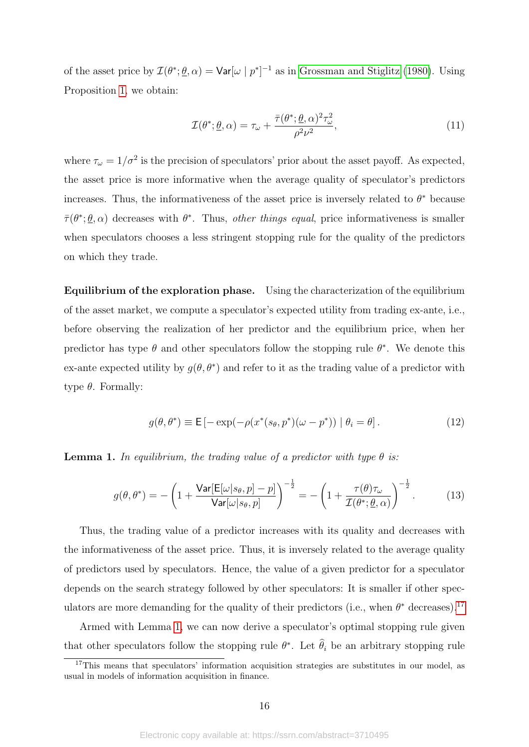of the asset price by  $\mathcal{I}(\theta^*; \underline{\theta}, \alpha) = \text{Var}[\omega | p^*]^{-1}$  as in [Grossman and Stiglitz](#page-36-3) [\(1980\)](#page-36-3). Using Proposition [1,](#page-15-1) we obtain:

<span id="page-16-3"></span>
$$
\mathcal{I}(\theta^*; \underline{\theta}, \alpha) = \tau_{\omega} + \frac{\bar{\tau}(\theta^*; \underline{\theta}, \alpha)^2 \tau_{\omega}^2}{\rho^2 \nu^2},
$$
\n(11)

where  $\tau_{\omega} = 1/\sigma^2$  is the precision of speculators' prior about the asset payoff. As expected, the asset price is more informative when the average quality of speculator's predictors increases. Thus, the informativeness of the asset price is inversely related to  $\theta^*$  because  $\bar{\tau}(\theta^*; \underline{\theta}, \alpha)$  decreases with  $\theta^*$ . Thus, *other things equal*, price informativeness is smaller when speculators chooses a less stringent stopping rule for the quality of the predictors on which they trade.

Equilibrium of the exploration phase. Using the characterization of the equilibrium of the asset market, we compute a speculator's expected utility from trading ex-ante, i.e., before observing the realization of her predictor and the equilibrium price, when her predictor has type  $\theta$  and other speculators follow the stopping rule  $\theta^*$ . We denote this ex-ante expected utility by  $g(\theta, \theta^*)$  and refer to it as the trading value of a predictor with type *θ*. Formally:

$$
g(\theta, \theta^*) \equiv \mathsf{E}\left[ -\exp(-\rho(x^*(s_{\theta}, p^*)(\omega - p^*)) \mid \theta_i = \theta \right]. \tag{12}
$$

<span id="page-16-1"></span>**Lemma 1.** In equilibrium, the trading value of a predictor with type  $\theta$  is:

<span id="page-16-2"></span>
$$
g(\theta, \theta^*) = -\left(1 + \frac{\text{Var}[E[\omega|s_{\theta}, p] - p]}{\text{Var}[\omega|s_{\theta}, p]}\right)^{-\frac{1}{2}} = -\left(1 + \frac{\tau(\theta)\tau_{\omega}}{\mathcal{I}(\theta^*; \underline{\theta}, \alpha)}\right)^{-\frac{1}{2}}.
$$
(13)

Thus, the trading value of a predictor increases with its quality and decreases with the informativeness of the asset price. Thus, it is inversely related to the average quality of predictors used by speculators. Hence, the value of a given predictor for a speculator depends on the search strategy followed by other speculators: It is smaller if other speculators are more demanding for the quality of their predictors (i.e., when  $\theta^*$  decreases).<sup>[17](#page-16-0)</sup>

Armed with Lemma [1,](#page-16-1) we can now derive a speculator's optimal stopping rule given that other speculators follow the stopping rule  $\theta^*$ . Let  $\hat{\theta}_i$  be an arbitrary stopping rule

<span id="page-16-0"></span><sup>&</sup>lt;sup>17</sup>This means that speculators' information acquisition strategies are substitutes in our model, as usual in models of information acquisition in finance.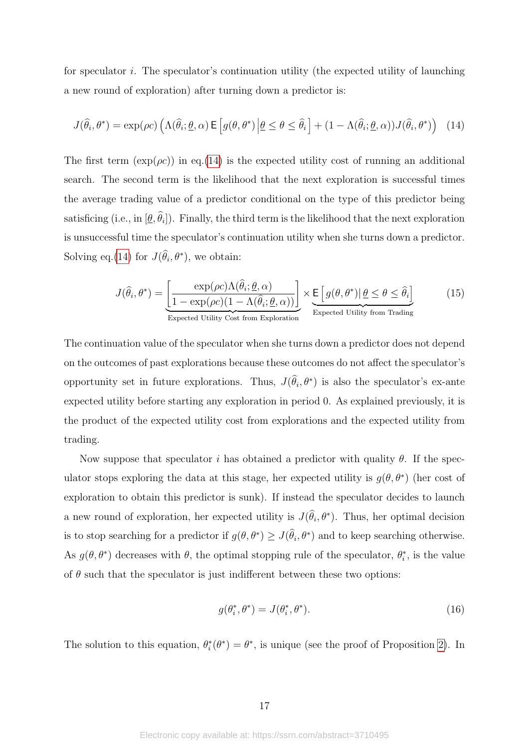for speculator *i*. The speculator's continuation utility (the expected utility of launching a new round of exploration) after turning down a predictor is:

<span id="page-17-0"></span>
$$
J(\hat{\theta}_i, \theta^*) = \exp(\rho c) \left( \Lambda(\hat{\theta}_i; \underline{\theta}, \alpha) \mathsf{E} \left[ g(\theta, \theta^*) \middle| \underline{\theta} \le \theta \le \hat{\theta}_i \right] + (1 - \Lambda(\hat{\theta}_i; \underline{\theta}, \alpha)) J(\hat{\theta}_i, \theta^*) \right) \tag{14}
$$

The first term  $(\exp(\rho c))$  in eq.[\(14\)](#page-17-0) is the expected utility cost of running an additional search. The second term is the likelihood that the next exploration is successful times the average trading value of a predictor conditional on the type of this predictor being satisficing (i.e., in  $[\underline{\theta}, \theta_i]$ ). Finally, the third term is the likelihood that the next exploration is unsuccessful time the speculator's continuation utility when she turns down a predictor. Solving eq.[\(14\)](#page-17-0) for  $J(\hat{\theta}_i, \theta^*)$ , we obtain:

<span id="page-17-1"></span>
$$
J(\hat{\theta}_i, \theta^*) = \underbrace{\left[\frac{\exp(\rho c)\Lambda(\hat{\theta}_i; \underline{\theta}, \alpha)}{1 - \exp(\rho c)(1 - \Lambda(\hat{\theta}_i; \underline{\theta}, \alpha))}\right]}_{\text{Expected Utility Cost from Exploration}} \times \underbrace{\mathsf{E}\left[g(\theta, \theta^*) | \underline{\theta} \le \theta \le \hat{\theta}_i\right]}_{\text{Expected Utility from Trading}} \tag{15}
$$

The continuation value of the speculator when she turns down a predictor does not depend on the outcomes of past explorations because these outcomes do not affect the speculator's opportunity set in future explorations. Thus,  $J(\hat{\theta}_i, \theta^*)$  is also the speculator's ex-ante expected utility before starting any exploration in period 0. As explained previously, it is the product of the expected utility cost from explorations and the expected utility from trading.

Now suppose that speculator *i* has obtained a predictor with quality *θ*. If the speculator stops exploring the data at this stage, her expected utility is  $g(\theta, \theta^*)$  (her cost of exploration to obtain this predictor is sunk). If instead the speculator decides to launch a new round of exploration, her expected utility is  $J(\hat{\theta}_i, \theta^*)$ . Thus, her optimal decision is to stop searching for a predictor if  $g(\theta, \theta^*) \geq J(\hat{\theta}_i, \theta^*)$  and to keep searching otherwise. As  $g(\theta, \theta^*)$  decreases with  $\theta$ , the optimal stopping rule of the speculator,  $\theta_i^*$ , is the value of  $\theta$  such that the speculator is just indifferent between these two options:

<span id="page-17-2"></span>
$$
g(\theta_i^*, \theta^*) = J(\theta_i^*, \theta^*). \tag{16}
$$

The solution to this equation,  $\theta_i^*(\theta^*) = \theta^*$ , is unique (see the proof of Proposition [2\)](#page-18-0). In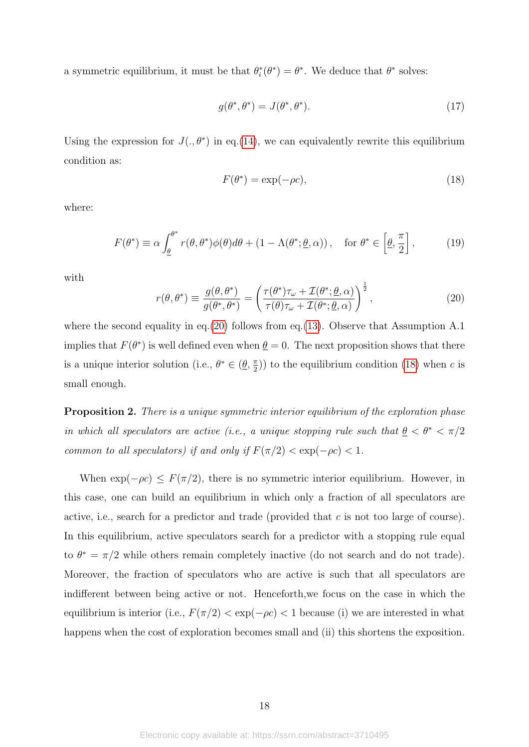a symmetric equilibrium, it must be that  $\theta_i^*(\theta^*) = \theta^*$ . We deduce that  $\theta^*$  solves:

$$
g(\theta^*, \theta^*) = J(\theta^*, \theta^*). \tag{17}
$$

Using the expression for  $J(.,\theta^*)$  in eq.[\(14\)](#page-17-0), we can equivalently rewrite this equilibrium condition as:

<span id="page-18-2"></span>
$$
F(\theta^*) = \exp(-\rho c),\tag{18}
$$

where:

<span id="page-18-3"></span>
$$
F(\theta^*) \equiv \alpha \int_{\underline{\theta}}^{\theta^*} r(\theta, \theta^*) \phi(\theta) d\theta + (1 - \Lambda(\theta^*; \underline{\theta}, \alpha)), \quad \text{for } \theta^* \in \left[\underline{\theta}, \frac{\pi}{2}\right],\tag{19}
$$

with

<span id="page-18-1"></span>
$$
r(\theta, \theta^*) \equiv \frac{g(\theta, \theta^*)}{g(\theta^*, \theta^*)} = \left(\frac{\tau(\theta^*)\tau_\omega + \mathcal{I}(\theta^*, \underline{\theta}, \alpha)}{\tau(\theta)\tau_\omega + \mathcal{I}(\theta^*, \underline{\theta}, \alpha)}\right)^{\frac{1}{2}},\tag{20}
$$

where the second equality in eq.  $(20)$  follows from eq.  $(13)$ . Observe that Assumption A.1 implies that  $F(\theta^*)$  is well defined even when  $\theta = 0$ . The next proposition shows that there is a unique interior solution (i.e.,  $\theta^* \in (\underline{\theta}, \frac{\pi}{2})$  $(\frac{\pi}{2})$  to the equilibrium condition [\(18\)](#page-18-2) when *c* is small enough.

<span id="page-18-0"></span>**Proposition 2.** There is a unique symmetric interior equilibrium of the exploration phase in which all speculators are active (i.e., a unique stopping rule such that  $\theta < \theta^* < \pi/2$ common to all speculators) if and only if  $F(\pi/2) < \exp(-\rho c) < 1$ .

When  $\exp(-\rho c) \leq F(\pi/2)$ , there is no symmetric interior equilibrium. However, in this case, one can build an equilibrium in which only a fraction of all speculators are active, i.e., search for a predictor and trade (provided that *c* is not too large of course). In this equilibrium, active speculators search for a predictor with a stopping rule equal to  $\theta^* = \pi/2$  while others remain completely inactive (do not search and do not trade). Moreover, the fraction of speculators who are active is such that all speculators are indifferent between being active or not. Henceforth,we focus on the case in which the equilibrium is interior (i.e.,  $F(\pi/2) < \exp(-\rho c) < 1$  because (i) we are interested in what happens when the cost of exploration becomes small and (ii) this shortens the exposition.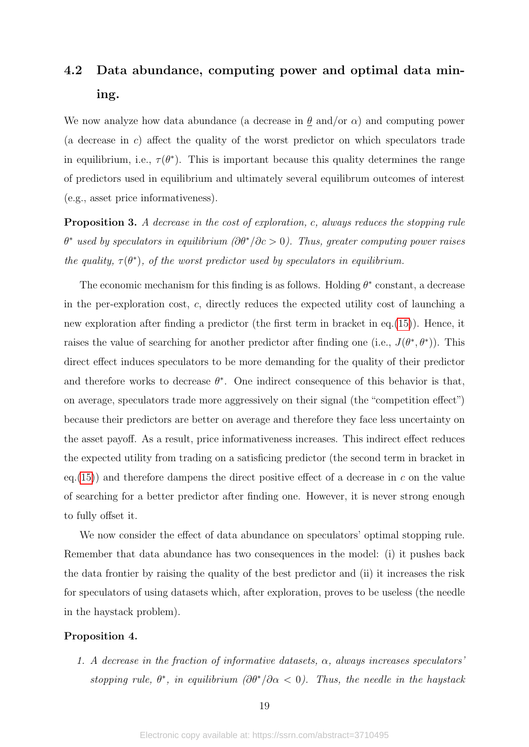# 4.2 Data abundance, computing power and optimal data mining.

We now analyze how data abundance (a decrease in  $\theta$  and/or  $\alpha$ ) and computing power (a decrease in *c*) affect the quality of the worst predictor on which speculators trade in equilibrium, i.e.,  $\tau(\theta^*)$ . This is important because this quality determines the range of predictors used in equilibrium and ultimately several equilibrum outcomes of interest (e.g., asset price informativeness).

<span id="page-19-1"></span>Proposition 3. A decrease in the cost of exploration, *c*, always reduces the stopping rule *θ* <sup>∗</sup> used by speculators in equilibrium (*∂θ*<sup>∗</sup>*/∂c >* 0). Thus, greater computing power raises the quality,  $\tau(\theta^*)$ , of the worst predictor used by speculators in equilibrium.

The economic mechanism for this finding is as follows. Holding  $\theta^*$  constant, a decrease in the per-exploration cost, *c*, directly reduces the expected utility cost of launching a new exploration after finding a predictor (the first term in bracket in eq.[\(15\)](#page-17-1)). Hence, it raises the value of searching for another predictor after finding one (i.e.,  $J(\theta^*, \theta^*)$ ). This direct effect induces speculators to be more demanding for the quality of their predictor and therefore works to decrease  $\theta^*$ . One indirect consequence of this behavior is that, on average, speculators trade more aggressively on their signal (the "competition effect") because their predictors are better on average and therefore they face less uncertainty on the asset payoff. As a result, price informativeness increases. This indirect effect reduces the expected utility from trading on a satisficing predictor (the second term in bracket in eq.[\(15\)](#page-17-1)) and therefore dampens the direct positive effect of a decrease in *c* on the value of searching for a better predictor after finding one. However, it is never strong enough to fully offset it.

We now consider the effect of data abundance on speculators' optimal stopping rule. Remember that data abundance has two consequences in the model: (i) it pushes back the data frontier by raising the quality of the best predictor and (ii) it increases the risk for speculators of using datasets which, after exploration, proves to be useless (the needle in the haystack problem).

#### <span id="page-19-0"></span>Proposition 4.

1. A decrease in the fraction of informative datasets, *α*, always increases speculators' stopping rule,  $\theta^*$ , in equilibrium  $(\partial \theta^*/\partial \alpha < 0)$ . Thus, the needle in the haystack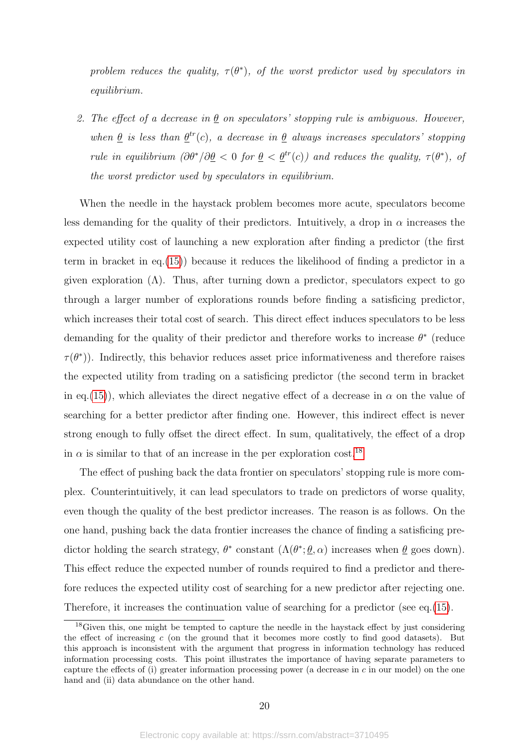problem reduces the quality,  $\tau(\theta^*)$ , of the worst predictor used by speculators in equilibrium.

2. The effect of a decrease in  $\underline{\theta}$  on speculators' stopping rule is ambiguous. However, when  $\theta$  is less than  $\theta^{tr}(c)$ , a decrease in  $\theta$  always increases speculators' stopping rule in equilibrium  $(\partial \theta^*/\partial \underline{\theta} < 0$  for  $\underline{\theta} < \underline{\theta}^{tr}(c)$ ) and reduces the quality,  $\tau(\theta^*)$ , of the worst predictor used by speculators in equilibrium.

When the needle in the haystack problem becomes more acute, speculators become less demanding for the quality of their predictors. Intuitively, a drop in  $\alpha$  increases the expected utility cost of launching a new exploration after finding a predictor (the first term in bracket in eq.[\(15\)](#page-17-1)) because it reduces the likelihood of finding a predictor in a given exploration  $(\Lambda)$ . Thus, after turning down a predictor, speculators expect to go through a larger number of explorations rounds before finding a satisficing predictor, which increases their total cost of search. This direct effect induces speculators to be less demanding for the quality of their predictor and therefore works to increase  $\theta^*$  (reduce  $\tau(\theta^*)$ ). Indirectly, this behavior reduces asset price informativeness and therefore raises the expected utility from trading on a satisficing predictor (the second term in bracket in eq.[\(15\)](#page-17-1)), which alleviates the direct negative effect of a decrease in  $\alpha$  on the value of searching for a better predictor after finding one. However, this indirect effect is never strong enough to fully offset the direct effect. In sum, qualitatively, the effect of a drop in  $\alpha$  is similar to that of an increase in the per exploration cost.<sup>[18](#page-20-0)</sup>

The effect of pushing back the data frontier on speculators' stopping rule is more complex. Counterintuitively, it can lead speculators to trade on predictors of worse quality, even though the quality of the best predictor increases. The reason is as follows. On the one hand, pushing back the data frontier increases the chance of finding a satisficing predictor holding the search strategy,  $\theta^*$  constant  $(\Lambda(\theta^*; \underline{\theta}, \alpha))$  increases when  $\underline{\theta}$  goes down). This effect reduce the expected number of rounds required to find a predictor and therefore reduces the expected utility cost of searching for a new predictor after rejecting one. Therefore, it increases the continuation value of searching for a predictor (see eq.[\(15\)](#page-17-1).

<span id="page-20-0"></span> $18$ Given this, one might be tempted to capture the needle in the haystack effect by just considering the effect of increasing *c* (on the ground that it becomes more costly to find good datasets). But this approach is inconsistent with the argument that progress in information technology has reduced information processing costs. This point illustrates the importance of having separate parameters to capture the effects of (i) greater information processing power (a decrease in *c* in our model) on the one hand and (ii) data abundance on the other hand.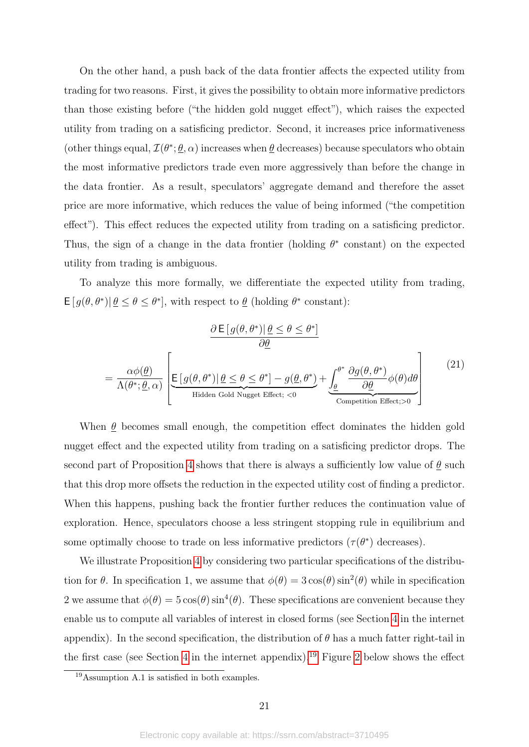On the other hand, a push back of the data frontier affects the expected utility from trading for two reasons. First, it gives the possibility to obtain more informative predictors than those existing before ("the hidden gold nugget effect"), which raises the expected utility from trading on a satisficing predictor. Second, it increases price informativeness (other things equal,  $\mathcal{I}(\theta^*; \underline{\theta}, \alpha)$  increases when  $\underline{\theta}$  decreases) because speculators who obtain the most informative predictors trade even more aggressively than before the change in the data frontier. As a result, speculators' aggregate demand and therefore the asset price are more informative, which reduces the value of being informed ("the competition effect"). This effect reduces the expected utility from trading on a satisficing predictor. Thus, the sign of a change in the data frontier (holding  $\theta^*$  constant) on the expected utility from trading is ambiguous.

To analyze this more formally, we differentiate the expected utility from trading,  $E[g(\theta, \theta^*) | \underline{\theta} \leq \theta \leq \theta^*]$ , with respect to  $\underline{\theta}$  (holding  $\theta^*$  constant):

$$
\frac{\partial E[g(\theta, \theta^*)] \underline{\theta} \le \theta \le \theta^*]}{\partial \underline{\theta}}
$$
\n
$$
= \frac{\alpha \phi(\underline{\theta})}{\Lambda(\theta^*; \underline{\theta}, \alpha)} \left[ E[g(\theta, \theta^*)] \underline{\theta} \le \theta \le \theta^*] - g(\underline{\theta}, \theta^*) + \underbrace{\int_{\underline{\theta}}^{\theta^*} \frac{\partial g(\theta, \theta^*)}{\partial \underline{\theta}} \phi(\theta) d\theta}_{\text{Competition Effect}; > 0} \right] \tag{21}
$$

When  $\theta$  becomes small enough, the competition effect dominates the hidden gold nugget effect and the expected utility from trading on a satisficing predictor drops. The second part of Proposition [4](#page-19-0) shows that there is always a sufficiently low value of  $\theta$  such that this drop more offsets the reduction in the expected utility cost of finding a predictor. When this happens, pushing back the frontier further reduces the continuation value of exploration. Hence, speculators choose a less stringent stopping rule in equilibrium and some optimally choose to trade on less informative predictors  $(\tau(\theta^*))$  decreases).

We illustrate Proposition [4](#page-19-0) by considering two particular specifications of the distribution for  $\theta$ . In specification 1, we assume that  $\phi(\theta) = 3 \cos(\theta) \sin^2(\theta)$  while in specification 2 we assume that  $\phi(\theta) = 5 \cos(\theta) \sin^4(\theta)$ . These specifications are convenient because they enable us to compute all variables of interest in closed forms (see Section [4](#page-14-0) in the internet appendix). In the second specification, the distribution of  $\theta$  has a much fatter right-tail in the first case (see Section [4](#page-14-0) in the internet appendix).<sup>[19](#page-21-0)</sup> Figure [2](#page-22-0) below shows the effect

<span id="page-21-0"></span><sup>19</sup>Assumption A.1 is satisfied in both examples.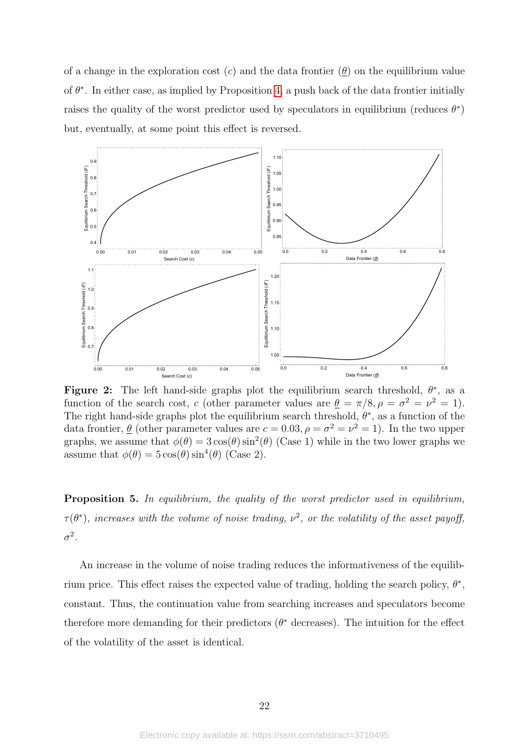of a change in the exploration cost  $(c)$  and the data frontier  $(\underline{\theta})$  on the equilibrium value of  $\theta^*$ . In either case, as implied by Proposition [4,](#page-19-0) a push back of the data frontier initially raises the quality of the worst predictor used by speculators in equilibrium (reduces  $\theta^*$ ) but, eventually, at some point this effect is reversed.

<span id="page-22-0"></span>

Figure 2: The left hand-side graphs plot the equilibrium search threshold,  $\theta^*$ , as a function of the search cost, *c* (other parameter values are  $\theta = \pi/8$ ,  $\rho = \sigma^2 = \nu^2 = 1$ ). The right hand-side graphs plot the equilibrium search threshold,  $\theta^*$ , as a function of the data frontier,  $\theta$  (other parameter values are  $c = 0.03$ ,  $\rho = \sigma^2 = \nu^2 = 1$ ). In the two upper graphs, we assume that  $\phi(\theta) = 3 \cos(\theta) \sin^2(\theta)$  (Case 1) while in the two lower graphs we assume that  $\phi(\theta) = 5 \cos(\theta) \sin^4(\theta)$  (Case 2).

<span id="page-22-1"></span>Proposition 5. In equilibrium, the quality of the worst predictor used in equilibrium,  $\tau(\theta^*)$ , increases with the volume of noise trading,  $\nu^2$ , or the volatility of the asset payoff,  $\sigma^2$ .

An increase in the volume of noise trading reduces the informativeness of the equilibrium price. This effect raises the expected value of trading, holding the search policy,  $\theta^*$ , constant. Thus, the continuation value from searching increases and speculators become therefore more demanding for their predictors  $(\theta^*$  decreases). The intuition for the effect of the volatility of the asset is identical.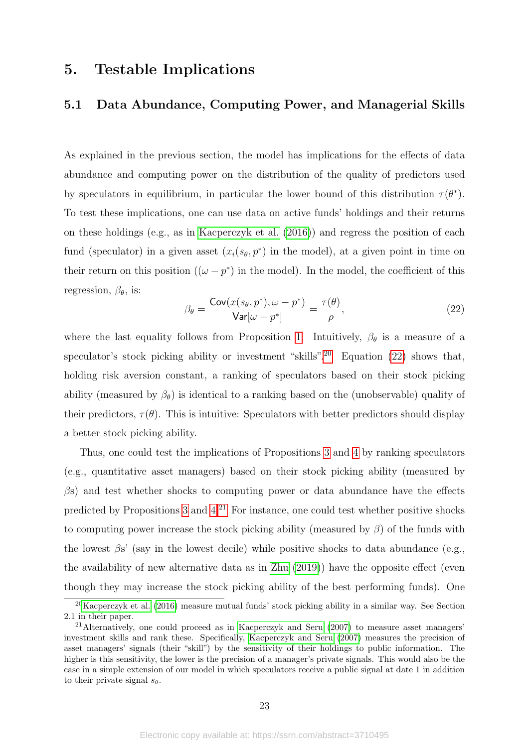## 5. Testable Implications

## <span id="page-23-3"></span>5.1 Data Abundance, Computing Power, and Managerial Skills

As explained in the previous section, the model has implications for the effects of data abundance and computing power on the distribution of the quality of predictors used by speculators in equilibrium, in particular the lower bound of this distribution  $\tau(\theta^*)$ . To test these implications, one can use data on active funds' holdings and their returns on these holdings (e.g., as in [Kacperczyk et al.](#page-37-13) [\(2016\)](#page-37-13)) and regress the position of each fund (speculator) in a given asset  $(x_i(s_\theta, p^*)$  in the model), at a given point in time on their return on this position  $((\omega - p^*)$  in the model). In the model, the coefficient of this regression, *βθ*, is:

<span id="page-23-1"></span>
$$
\beta_{\theta} = \frac{\text{Cov}(x(s_{\theta}, p^*), \omega - p^*)}{\text{Var}[\omega - p^*]} = \frac{\tau(\theta)}{\rho},\tag{22}
$$

where the last equality follows from Proposition [1.](#page-15-1) Intuitively,  $\beta_{\theta}$  is a measure of a speculator's stock picking ability or investment "skills".<sup>[20](#page-23-0)</sup> Equation  $(22)$  shows that, holding risk aversion constant, a ranking of speculators based on their stock picking ability (measured by  $\beta_{\theta}$ ) is identical to a ranking based on the (unobservable) quality of their predictors,  $\tau(\theta)$ . This is intuitive: Speculators with better predictors should display a better stock picking ability.

Thus, one could test the implications of Propositions [3](#page-19-1) and [4](#page-19-0) by ranking speculators (e.g., quantitative asset managers) based on their stock picking ability (measured by *β*s) and test whether shocks to computing power or data abundance have the effects predicted by Propositions [3](#page-19-1) and  $4^{21}$  $4^{21}$  $4^{21}$  For instance, one could test whether positive shocks to computing power increase the stock picking ability (measured by *β*) of the funds with the lowest  $\beta s'$  (say in the lowest decile) while positive shocks to data abundance (e.g., the availability of new alternative data as in [Zhu](#page-37-6) [\(2019\)](#page-37-6)) have the opposite effect (even though they may increase the stock picking ability of the best performing funds). One

<span id="page-23-0"></span><sup>&</sup>lt;sup>20</sup>[Kacperczyk et al.](#page-37-13) [\(2016\)](#page-37-13) measure mutual funds' stock picking ability in a similar way. See Section 2.1 in their paper.

<span id="page-23-2"></span><sup>21</sup>Alternatively, one could proceed as in [Kacperczyk and Seru](#page-37-8) [\(2007\)](#page-37-8) to measure asset managers' investment skills and rank these. Specifically, [Kacperczyk and Seru](#page-37-8) [\(2007\)](#page-37-8) measures the precision of asset managers' signals (their "skill") by the sensitivity of their holdings to public information. The higher is this sensitivity, the lower is the precision of a manager's private signals. This would also be the case in a simple extension of our model in which speculators receive a public signal at date 1 in addition to their private signal  $s_{\theta}$ .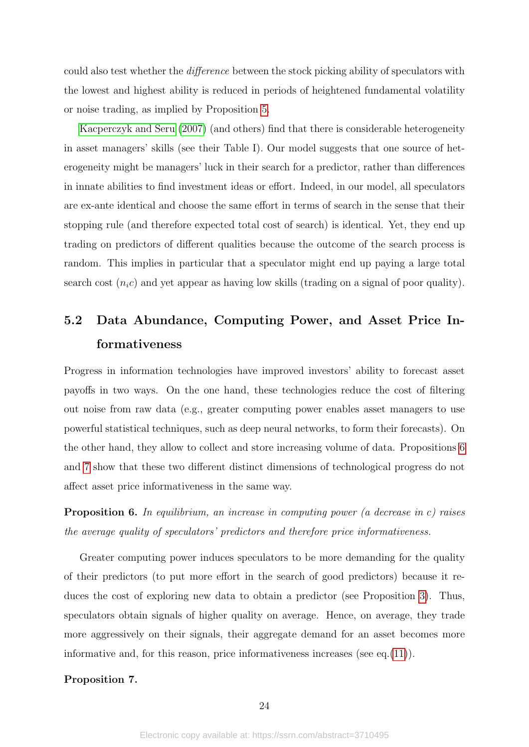could also test whether the difference between the stock picking ability of speculators with the lowest and highest ability is reduced in periods of heightened fundamental volatility or noise trading, as implied by Proposition [5.](#page-22-1)

[Kacperczyk and Seru](#page-37-8) [\(2007\)](#page-37-8) (and others) find that there is considerable heterogeneity in asset managers' skills (see their Table I). Our model suggests that one source of heterogeneity might be managers' luck in their search for a predictor, rather than differences in innate abilities to find investment ideas or effort. Indeed, in our model, all speculators are ex-ante identical and choose the same effort in terms of search in the sense that their stopping rule (and therefore expected total cost of search) is identical. Yet, they end up trading on predictors of different qualities because the outcome of the search process is random. This implies in particular that a speculator might end up paying a large total search cost  $(n_i c)$  and yet appear as having low skills (trading on a signal of poor quality).

# <span id="page-24-0"></span>5.2 Data Abundance, Computing Power, and Asset Price Informativeness

Progress in information technologies have improved investors' ability to forecast asset payoffs in two ways. On the one hand, these technologies reduce the cost of filtering out noise from raw data (e.g., greater computing power enables asset managers to use powerful statistical techniques, such as deep neural networks, to form their forecasts). On the other hand, they allow to collect and store increasing volume of data. Propositions [6](#page-24-1) and [7](#page-24-2) show that these two different distinct dimensions of technological progress do not affect asset price informativeness in the same way.

<span id="page-24-1"></span>Proposition 6. In equilibrium, an increase in computing power (a decrease in *c*) raises the average quality of speculators' predictors and therefore price informativeness.

Greater computing power induces speculators to be more demanding for the quality of their predictors (to put more effort in the search of good predictors) because it reduces the cost of exploring new data to obtain a predictor (see Proposition [3\)](#page-19-1). Thus, speculators obtain signals of higher quality on average. Hence, on average, they trade more aggressively on their signals, their aggregate demand for an asset becomes more informative and, for this reason, price informativeness increases (see eq.  $(11)$ ).

### <span id="page-24-2"></span>Proposition 7.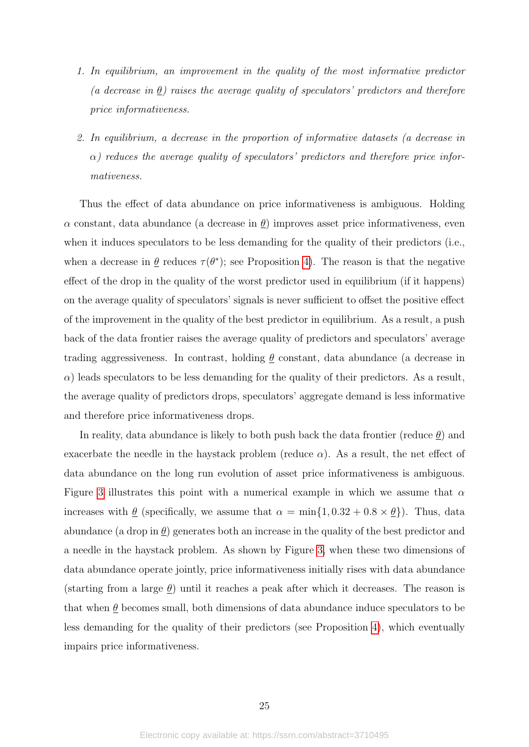- 1. In equilibrium, an improvement in the quality of the most informative predictor (a decrease in  $\underline{\theta}$ ) raises the average quality of speculators' predictors and therefore price informativeness.
- 2. In equilibrium, a decrease in the proportion of informative datasets (a decrease in  $\alpha$ ) reduces the average quality of speculators' predictors and therefore price informativeness.

Thus the effect of data abundance on price informativeness is ambiguous. Holding *α* constant, data abundance (a decrease in *θ*) improves asset price informativeness, even when it induces speculators to be less demanding for the quality of their predictors (i.e., when a decrease in  $\underline{\theta}$  reduces  $\tau(\theta^*)$ ; see Proposition [4\)](#page-19-0). The reason is that the negative effect of the drop in the quality of the worst predictor used in equilibrium (if it happens) on the average quality of speculators' signals is never sufficient to offset the positive effect of the improvement in the quality of the best predictor in equilibrium. As a result, a push back of the data frontier raises the average quality of predictors and speculators' average trading aggressiveness. In contrast, holding  $\theta$  constant, data abundance (a decrease in  $\alpha$ ) leads speculators to be less demanding for the quality of their predictors. As a result, the average quality of predictors drops, speculators' aggregate demand is less informative and therefore price informativeness drops.

In reality, data abundance is likely to both push back the data frontier (reduce *θ*) and exacerbate the needle in the haystack problem (reduce  $\alpha$ ). As a result, the net effect of data abundance on the long run evolution of asset price informativeness is ambiguous. Figure [3](#page-26-0) illustrates this point with a numerical example in which we assume that *α* increases with  $\theta$  (specifically, we assume that  $\alpha = \min\{1, 0.32 + 0.8 \times \theta\}$ ). Thus, data abundance (a drop in  $\theta$ ) generates both an increase in the quality of the best predictor and a needle in the haystack problem. As shown by Figure [3,](#page-26-0) when these two dimensions of data abundance operate jointly, price informativeness initially rises with data abundance (starting from a large  $\theta$ ) until it reaches a peak after which it decreases. The reason is that when  $\theta$  becomes small, both dimensions of data abundance induce speculators to be less demanding for the quality of their predictors (see Proposition [4\)](#page-19-0), which eventually impairs price informativeness.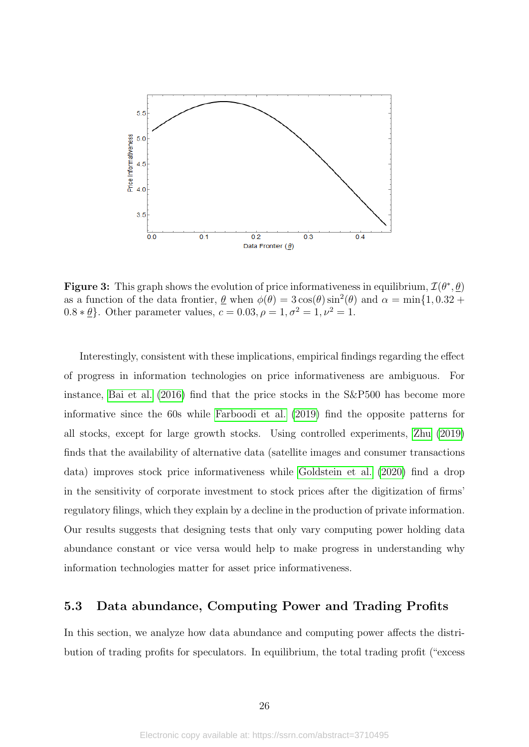<span id="page-26-0"></span>

**Figure 3:** This graph shows the evolution of price informativeness in equilibrium,  $\mathcal{I}(\theta^*, \underline{\theta})$ as a function of the data frontier,  $\underline{\theta}$  when  $\phi(\theta) = 3\cos(\theta)\sin^2(\theta)$  and  $\alpha = \min\{1, 0.32 + \theta\}$ 0.8  $*\underline{\theta}$ . Other parameter values,  $c = 0.03, \rho = 1, \sigma^2 = 1, \nu^2 = 1$ .

Interestingly, consistent with these implications, empirical findings regarding the effect of progress in information technologies on price informativeness are ambiguous. For instance, [Bai et al.](#page-36-13) [\(2016\)](#page-36-13) find that the price stocks in the S&P500 has become more informative since the 60s while [Farboodi et al.](#page-36-14) [\(2019\)](#page-36-14) find the opposite patterns for all stocks, except for large growth stocks. Using controlled experiments, [Zhu](#page-37-6) [\(2019\)](#page-37-6) finds that the availability of alternative data (satellite images and consumer transactions data) improves stock price informativeness while [Goldstein et al.](#page-36-15) [\(2020\)](#page-36-15) find a drop in the sensitivity of corporate investment to stock prices after the digitization of firms' regulatory filings, which they explain by a decline in the production of private information. Our results suggests that designing tests that only vary computing power holding data abundance constant or vice versa would help to make progress in understanding why information technologies matter for asset price informativeness.

## 5.3 Data abundance, Computing Power and Trading Profits

In this section, we analyze how data abundance and computing power affects the distribution of trading profits for speculators. In equilibrium, the total trading profit ("excess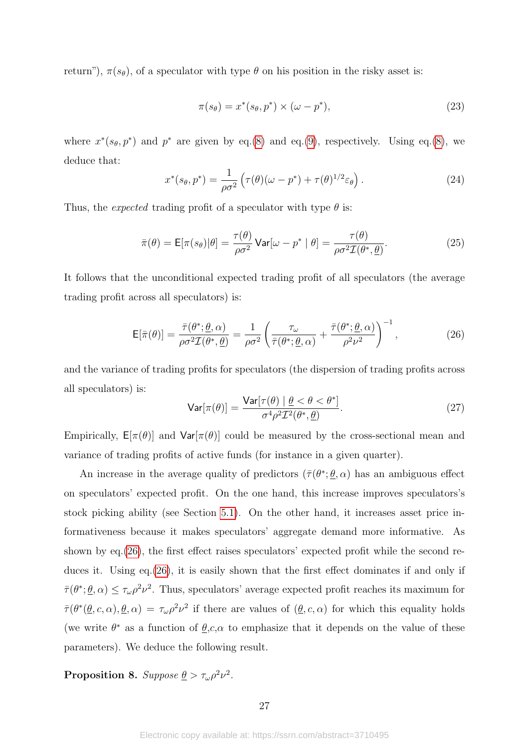return"),  $\pi(s_\theta)$ , of a speculator with type  $\theta$  on his position in the risky asset is:

$$
\pi(s_{\theta}) = x^*(s_{\theta}, p^*) \times (\omega - p^*),\tag{23}
$$

where  $x^*(s_{\theta}, p^*)$  and  $p^*$  are given by eq.[\(8\)](#page-15-2) and eq.[\(9\)](#page-15-3), respectively. Using eq.(8), we deduce that:

<span id="page-27-2"></span>
$$
x^*(s_\theta, p^*) = \frac{1}{\rho \sigma^2} \left( \tau(\theta)(\omega - p^*) + \tau(\theta)^{1/2} \varepsilon_\theta \right).
$$
 (24)

Thus, the *expected* trading profit of a speculator with type  $\theta$  is:

$$
\bar{\pi}(\theta) = \mathsf{E}[\pi(s_{\theta})|\theta] = \frac{\tau(\theta)}{\rho\sigma^2} \mathsf{Var}[\omega - p^* | \theta] = \frac{\tau(\theta)}{\rho\sigma^2 \mathcal{I}(\theta^*, \theta)}.
$$
\n(25)

It follows that the unconditional expected trading profit of all speculators (the average trading profit across all speculators) is:

<span id="page-27-0"></span>
$$
\mathsf{E}[\bar{\pi}(\theta)] = \frac{\bar{\tau}(\theta^*; \underline{\theta}, \alpha)}{\rho \sigma^2 \mathcal{I}(\theta^*, \underline{\theta})} = \frac{1}{\rho \sigma^2} \left( \frac{\tau_{\omega}}{\bar{\tau}(\theta^*; \underline{\theta}, \alpha)} + \frac{\bar{\tau}(\theta^*; \underline{\theta}, \alpha)}{\rho^2 \nu^2} \right)^{-1},\tag{26}
$$

and the variance of trading profits for speculators (the dispersion of trading profits across all speculators) is:

<span id="page-27-1"></span>
$$
\mathsf{Var}[\pi(\theta)] = \frac{\mathsf{Var}[\tau(\theta) \mid \underline{\theta} < \theta < \theta^*]}{\sigma^4 \rho^2 \mathcal{I}^2(\theta^*, \underline{\theta})}.\tag{27}
$$

Empirically,  $E[\pi(\theta)]$  and  $Var[\pi(\theta)]$  could be measured by the cross-sectional mean and variance of trading profits of active funds (for instance in a given quarter).

An increase in the average quality of predictors  $(\bar{\tau}(\theta^*; \underline{\theta}, \alpha))$  has an ambiguous effect on speculators' expected profit. On the one hand, this increase improves speculators's stock picking ability (see Section [5.1\)](#page-23-3). On the other hand, it increases asset price informativeness because it makes speculators' aggregate demand more informative. As shown by eq.[\(26\)](#page-27-0), the first effect raises speculators' expected profit while the second reduces it. Using eq.[\(26\)](#page-27-0), it is easily shown that the first effect dominates if and only if  $\bar{\tau}(\theta^*; \underline{\theta}, \alpha) \leq \tau_{\omega} \rho^2 \nu^2$ . Thus, speculators' average expected profit reaches its maximum for  $\bar{\tau}(\theta^*(\underline{\theta}, c, \alpha), \underline{\theta}, \alpha) = \tau_{\omega} \rho^2 \nu^2$  if there are values of  $(\underline{\theta}, c, \alpha)$  for which this equality holds (we write  $\theta^*$  as a function of  $\underline{\theta},c,\alpha$  to emphasize that it depends on the value of these parameters). We deduce the following result.

<span id="page-27-3"></span>**Proposition 8.** Suppose  $\underline{\theta} > \tau_{\omega} \rho^2 \nu^2$ .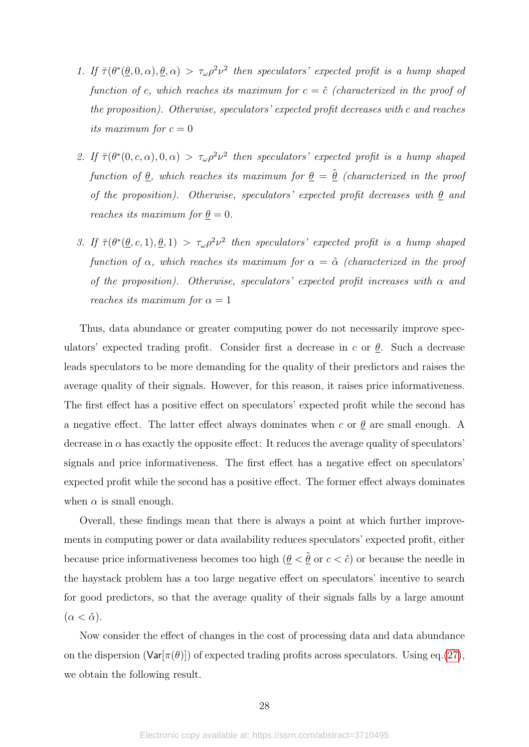- 1. If  $\bar{\tau}(\theta^*(\theta,0,\alpha),\theta,\alpha) > \tau_\omega \rho^2 \nu^2$  then speculators' expected profit is a hump shaped function of *c*, which reaches its maximum for  $c = \hat{c}$  (characterized in the proof of the proposition). Otherwise, speculators' expected profit decreases with *c* and reaches its maximum for  $c = 0$
- 2. If  $\bar{\tau}(\theta^*(0, c, \alpha), 0, \alpha) > \tau_{\omega} \rho^2 \nu^2$  then speculators' expected profit is a hump shaped function of  $\underline{\theta}$ , which reaches its maximum for  $\underline{\theta} = \underline{\hat{\theta}}$  (characterized in the proof of the proposition). Otherwise, speculators' expected profit decreases with *θ* and reaches its maximum for  $\theta = 0$ .
- 3. If  $\bar{\tau}(\theta^*(\underline{\theta}, c, 1), \underline{\theta}, 1) > \tau_{\omega} \rho^2 \nu^2$  then speculators' expected profit is a hump shaped function of  $\alpha$ , which reaches its maximum for  $\alpha = \hat{\alpha}$  (characterized in the proof of the proposition). Otherwise, speculators' expected profit increases with  $\alpha$  and *reaches its maximum for*  $\alpha = 1$

Thus, data abundance or greater computing power do not necessarily improve speculators' expected trading profit. Consider first a decrease in *c* or *θ*. Such a decrease leads speculators to be more demanding for the quality of their predictors and raises the average quality of their signals. However, for this reason, it raises price informativeness. The first effect has a positive effect on speculators' expected profit while the second has a negative effect. The latter effect always dominates when  $c$  or  $\theta$  are small enough. A decrease in  $\alpha$  has exactly the opposite effect: It reduces the average quality of speculators' signals and price informativeness. The first effect has a negative effect on speculators' expected profit while the second has a positive effect. The former effect always dominates when  $\alpha$  is small enough.

Overall, these findings mean that there is always a point at which further improvements in computing power or data availability reduces speculators' expected profit, either because price informativeness becomes too high  $(\underline{\theta} < \hat{\theta} \text{ or } c < \hat{c})$  or because the needle in the haystack problem has a too large negative effect on speculators' incentive to search for good predictors, so that the average quality of their signals falls by a large amount  $(\alpha < \hat{\alpha})$ .

Now consider the effect of changes in the cost of processing data and data abundance on the dispersion  $(\text{Var}[\pi(\theta)])$  of expected trading profits across speculators. Using eq.[\(27\)](#page-27-1), we obtain the following result.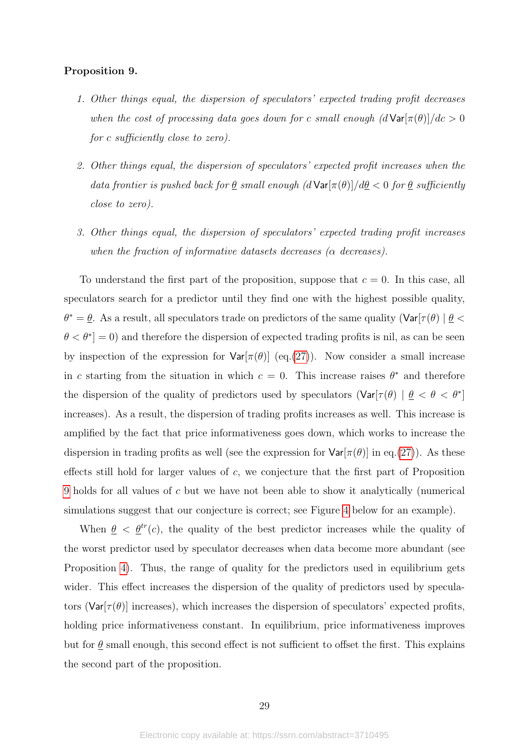### <span id="page-29-0"></span>Proposition 9.

- 1. Other things equal, the dispersion of speculators' expected trading profit decreases when the cost of processing data goes down for *c* small enough  $(d \text{Var}[\pi(\theta)]/dc > 0$ for *c* sufficiently close to zero).
- 2. Other things equal, the dispersion of speculators' expected profit increases when the data frontier is pushed back for  $\theta$  small enough  $(d \text{Var}[\pi(\theta)]/d\theta < 0$  for  $\theta$  sufficiently close to zero).
- 3. Other things equal, the dispersion of speculators' expected trading profit increases when the fraction of informative datasets decreases (*α* decreases).

To understand the first part of the proposition, suppose that *c* = 0. In this case, all speculators search for a predictor until they find one with the highest possible quality,  $\theta^* = \underline{\theta}$ . As a result, all speculators trade on predictors of the same quality (Var[ $\tau(\theta) | \underline{\theta}$  $\theta < \theta^*$  = 0) and therefore the dispersion of expected trading profits is nil, as can be seen by inspection of the expression for  $Var[\pi(\theta)]$  (eq.[\(27\)](#page-27-1)). Now consider a small increase in *c* starting from the situation in which  $c = 0$ . This increase raises  $\theta^*$  and therefore the dispersion of the quality of predictors used by speculators  $(\text{Var}[\tau(\theta) | \theta < \theta < \theta^*])$ increases). As a result, the dispersion of trading profits increases as well. This increase is amplified by the fact that price informativeness goes down, which works to increase the dispersion in trading profits as well (see the expression for  $Var[\pi(\theta)]$  in eq.[\(27\)](#page-27-1)). As these effects still hold for larger values of *c*, we conjecture that the first part of Proposition [9](#page-29-0) holds for all values of *c* but we have not been able to show it analytically (numerical simulations suggest that our conjecture is correct; see Figure [4](#page-30-0) below for an example).

When  $\theta \leq \theta^{tr}(c)$ , the quality of the best predictor increases while the quality of the worst predictor used by speculator decreases when data become more abundant (see Proposition [4\)](#page-19-0). Thus, the range of quality for the predictors used in equilibrium gets wider. This effect increases the dispersion of the quality of predictors used by speculators ( $Var[\tau(\theta)]$  increases), which increases the dispersion of speculators' expected profits, holding price informativeness constant. In equilibrium, price informativeness improves but for  $\theta$  small enough, this second effect is not sufficient to offset the first. This explains the second part of the proposition.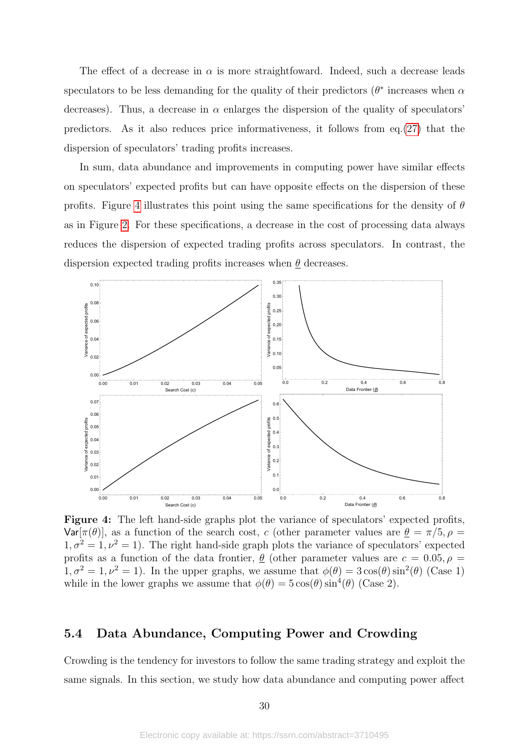The effect of a decrease in  $\alpha$  is more straightfoward. Indeed, such a decrease leads speculators to be less demanding for the quality of their predictors ( $\theta^*$  increases when  $\alpha$ decreases). Thus, a decrease in  $\alpha$  enlarges the dispersion of the quality of speculators' predictors. As it also reduces price informativeness, it follows from  $eq.(27)$  $eq.(27)$  that the dispersion of speculators' trading profits increases.

In sum, data abundance and improvements in computing power have similar effects on speculators' expected profits but can have opposite effects on the dispersion of these profits. Figure [4](#page-30-0) illustrates this point using the same specifications for the density of *θ* as in Figure [2.](#page-22-0) For these specifications, a decrease in the cost of processing data always reduces the dispersion of expected trading profits across speculators. In contrast, the dispersion expected trading profits increases when *θ* decreases.

<span id="page-30-0"></span>

Figure 4: The left hand-side graphs plot the variance of speculators' expected profits,  $Var[\pi(\theta)]$ , as a function of the search cost, *c* (other parameter values are  $\theta = \pi/5$ ,  $\rho =$  $1, \sigma^2 = 1, \nu^2 = 1$ ). The right hand-side graph plots the variance of speculators' expected profits as a function of the data frontier,  $\theta$  (other parameter values are  $c = 0.05, \rho =$  $1, \sigma^2 = 1, \nu^2 = 1$ ). In the upper graphs, we assume that  $\phi(\theta) = 3\cos(\theta)\sin^2(\theta)$  (Case 1) while in the lower graphs we assume that  $\phi(\theta) = 5 \cos(\theta) \sin^4(\theta)$  (Case 2).

## 5.4 Data Abundance, Computing Power and Crowding

Crowding is the tendency for investors to follow the same trading strategy and exploit the same signals. In this section, we study how data abundance and computing power affect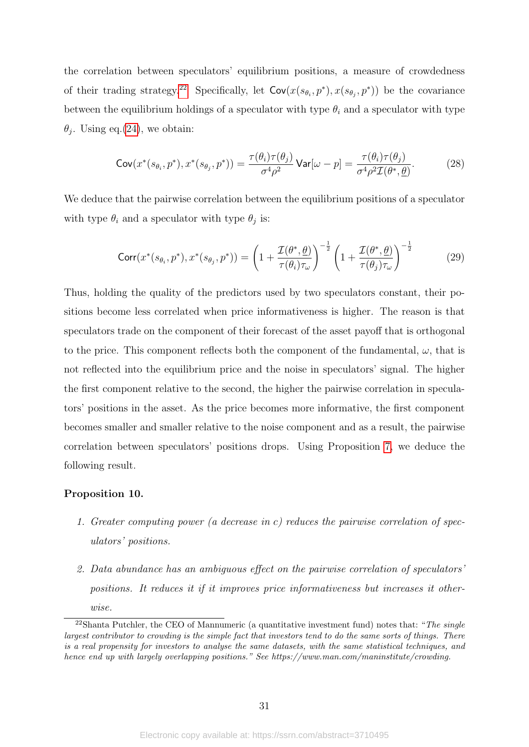the correlation between speculators' equilibrium positions, a measure of crowdedness of their trading strategy.<sup>[22](#page-31-0)</sup> Specifically, let  $Cov(x(s_{\theta_i}, p^*), x(s_{\theta_j}, p^*))$  be the covariance between the equilibrium holdings of a speculator with type  $\theta_i$  and a speculator with type  $\theta_j$ . Using eq.[\(24\)](#page-27-2), we obtain:

$$
\mathsf{Cov}(x^*(s_{\theta_i}, p^*), x^*(s_{\theta_j}, p^*)) = \frac{\tau(\theta_i)\tau(\theta_j)}{\sigma^4\rho^2} \mathsf{Var}[\omega - p] = \frac{\tau(\theta_i)\tau(\theta_j)}{\sigma^4\rho^2 \mathcal{I}(\theta^*, \underline{\theta})}.\tag{28}
$$

We deduce that the pairwise correlation between the equilibrium positions of a speculator with type  $\theta_i$  and a speculator with type  $\theta_j$  is:

$$
\text{Corr}(x^*(s_{\theta_i}, p^*), x^*(s_{\theta_j}, p^*)) = \left(1 + \frac{\mathcal{I}(\theta^*, \underline{\theta})}{\tau(\theta_i)\tau_{\omega}}\right)^{-\frac{1}{2}} \left(1 + \frac{\mathcal{I}(\theta^*, \underline{\theta})}{\tau(\theta_j)\tau_{\omega}}\right)^{-\frac{1}{2}}\tag{29}
$$

Thus, holding the quality of the predictors used by two speculators constant, their positions become less correlated when price informativeness is higher. The reason is that speculators trade on the component of their forecast of the asset payoff that is orthogonal to the price. This component reflects both the component of the fundamental,  $\omega$ , that is not reflected into the equilibrium price and the noise in speculators' signal. The higher the first component relative to the second, the higher the pairwise correlation in speculators' positions in the asset. As the price becomes more informative, the first component becomes smaller and smaller relative to the noise component and as a result, the pairwise correlation between speculators' positions drops. Using Proposition [7,](#page-24-2) we deduce the following result.

## <span id="page-31-1"></span>Proposition 10.

- 1. Greater computing power (a decrease in *c*) reduces the pairwise correlation of speculators' positions.
- 2. Data abundance has an ambiguous effect on the pairwise correlation of speculators' positions. It reduces it if it improves price informativeness but increases it otherwise.

<span id="page-31-0"></span> $22$ Shanta Putchler, the CEO of Mannumeric (a quantitative investment fund) notes that: "The single largest contributor to crowding is the simple fact that investors tend to do the same sorts of things. There is a real propensity for investors to analyse the same datasets, with the same statistical techniques, and hence end up with largely overlapping positions." See https://www.man.com/maninstitute/crowding.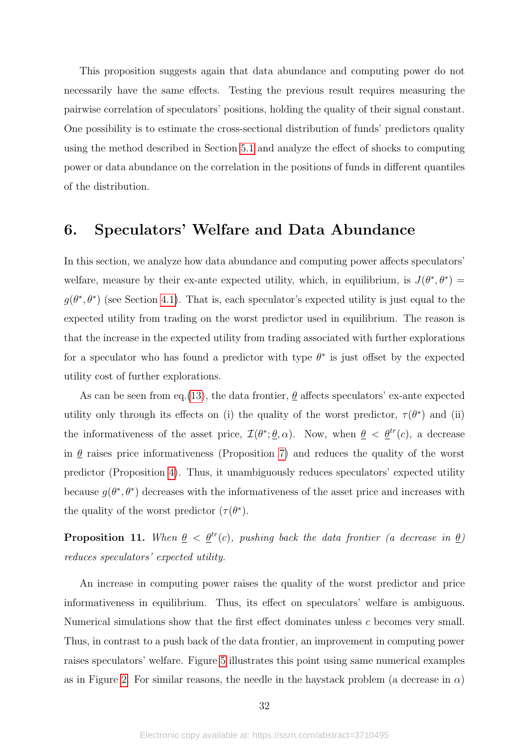This proposition suggests again that data abundance and computing power do not necessarily have the same effects. Testing the previous result requires measuring the pairwise correlation of speculators' positions, holding the quality of their signal constant. One possibility is to estimate the cross-sectional distribution of funds' predictors quality using the method described in Section [5.1](#page-23-3) and analyze the effect of shocks to computing power or data abundance on the correlation in the positions of funds in different quantiles of the distribution.

# 6. Speculators' Welfare and Data Abundance

In this section, we analyze how data abundance and computing power affects speculators' welfare, measure by their ex-ante expected utility, which, in equilibrium, is  $J(\theta^*, \theta^*)$  =  $g(\theta^*, \theta^*)$  (see Section [4.1\)](#page-14-1). That is, each speculator's expected utility is just equal to the expected utility from trading on the worst predictor used in equilibrium. The reason is that the increase in the expected utility from trading associated with further explorations for a speculator who has found a predictor with type  $\theta^*$  is just offset by the expected utility cost of further explorations.

As can be seen from eq.[\(13\)](#page-16-2), the data frontier,  $\theta$  affects speculators' ex-ante expected utility only through its effects on (i) the quality of the worst predictor,  $\tau(\theta^*)$  and (ii) the informativeness of the asset price,  $\mathcal{I}(\theta^*; \underline{\theta}, \alpha)$ . Now, when  $\underline{\theta} < \underline{\theta}^{tr}(c)$ , a decrease in  $\theta$  raises price informativeness (Proposition [7\)](#page-24-2) and reduces the quality of the worst predictor (Proposition [4\)](#page-19-0). Thus, it unambiguously reduces speculators' expected utility because  $g(\theta^*, \theta^*)$  decreases with the informativeness of the asset price and increases with the quality of the worst predictor  $(\tau(\theta^*))$ .

<span id="page-32-0"></span>**Proposition 11.** When  $\theta < \theta^{tr}(c)$ , pushing back the data frontier (a decrease in  $\theta$ ) reduces speculators' expected utility.

An increase in computing power raises the quality of the worst predictor and price informativeness in equilibrium. Thus, its effect on speculators' welfare is ambiguous. Numerical simulations show that the first effect dominates unless *c* becomes very small. Thus, in contrast to a push back of the data frontier, an improvement in computing power raises speculators' welfare. Figure [5](#page-33-0) illustrates this point using same numerical examples as in Figure [2.](#page-22-0) For similar reasons, the needle in the haystack problem (a decrease in  $\alpha$ )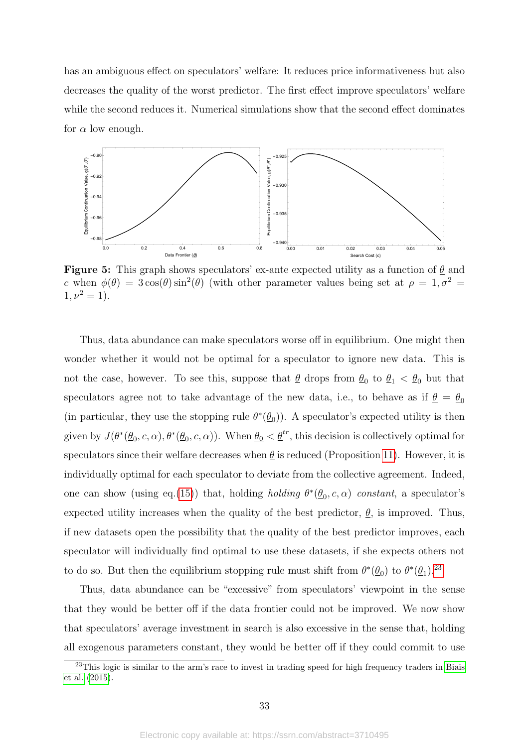has an ambiguous effect on speculators' welfare: It reduces price informativeness but also decreases the quality of the worst predictor. The first effect improve speculators' welfare while the second reduces it. Numerical simulations show that the second effect dominates for  $\alpha$  low enough.

<span id="page-33-0"></span>

Figure 5: This graph shows speculators' ex-ante expected utility as a function of *θ* and *c* when  $\phi(\theta) = 3\cos(\theta)\sin^2(\theta)$  (with other parameter values being set at  $\rho = 1, \sigma^2 =$  $1, \nu^2 = 1$ ).

Thus, data abundance can make speculators worse off in equilibrium. One might then wonder whether it would not be optimal for a speculator to ignore new data. This is not the case, however. To see this, suppose that  $\theta$  drops from  $\theta_0$  to  $\theta_1 < \theta_0$  but that speculators agree not to take advantage of the new data, i.e., to behave as if  $\theta = \theta_0$ (in particular, they use the stopping rule  $\theta^*(\underline{\theta}_0)$ ). A speculator's expected utility is then given by  $J(\theta^*(\underline{\theta}_0, c, \alpha), \theta^*(\underline{\theta}_0, c, \alpha))$ . When  $\underline{\theta}_0 < \underline{\theta}^{tr}$ , this decision is collectively optimal for speculators since their welfare decreases when  $\theta$  is reduced (Proposition [11\)](#page-32-0). However, it is individually optimal for each speculator to deviate from the collective agreement. Indeed, one can show (using eq.[\(15\)](#page-17-1)) that, holding *holding*  $\theta^*(\underline{\theta}_0, c, \alpha)$  constant, a speculator's expected utility increases when the quality of the best predictor,  $\theta$ , is improved. Thus, if new datasets open the possibility that the quality of the best predictor improves, each speculator will individually find optimal to use these datasets, if she expects others not to do so. But then the equilibrium stopping rule must shift from  $\theta^*(\underline{\theta}_0)$  to  $\theta^*(\underline{\theta}_1)$ .<sup>[23](#page-33-1)</sup>

Thus, data abundance can be "excessive" from speculators' viewpoint in the sense that they would be better off if the data frontier could not be improved. We now show that speculators' average investment in search is also excessive in the sense that, holding all exogenous parameters constant, they would be better off if they could commit to use

<span id="page-33-1"></span><sup>&</sup>lt;sup>23</sup>This logic is similar to the arm's race to invest in trading speed for high frequency traders in [Biais](#page-36-16) [et al.](#page-36-16) [\(2015\)](#page-36-16).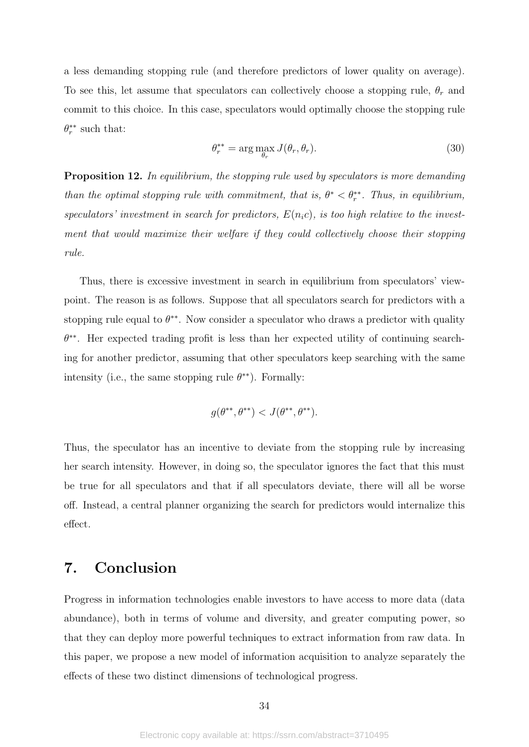a less demanding stopping rule (and therefore predictors of lower quality on average). To see this, let assume that speculators can collectively choose a stopping rule, *θ<sup>r</sup>* and commit to this choice. In this case, speculators would optimally choose the stopping rule  $\theta_r^{**}$  such that:

$$
\theta_r^{**} = \arg \max_{\theta_r} J(\theta_r, \theta_r). \tag{30}
$$

<span id="page-34-0"></span>Proposition 12. In equilibrium, the stopping rule used by speculators is more demanding than the optimal stopping rule with commitment, that is,  $\theta^* < \theta_r^{**}$ . Thus, in equilibrium, speculators' investment in search for predictors,  $E(n_i c)$ , is too high relative to the investment that would maximize their welfare if they could collectively choose their stopping rule.

Thus, there is excessive investment in search in equilibrium from speculators' viewpoint. The reason is as follows. Suppose that all speculators search for predictors with a stopping rule equal to  $\theta^{**}$ . Now consider a speculator who draws a predictor with quality *θ* ∗∗. Her expected trading profit is less than her expected utility of continuing searching for another predictor, assuming that other speculators keep searching with the same intensity (i.e., the same stopping rule  $\theta^{**}$ ). Formally:

$$
g(\theta^{**}, \theta^{**}) < J(\theta^{**}, \theta^{**}).
$$

Thus, the speculator has an incentive to deviate from the stopping rule by increasing her search intensity. However, in doing so, the speculator ignores the fact that this must be true for all speculators and that if all speculators deviate, there will all be worse off. Instead, a central planner organizing the search for predictors would internalize this effect.

## 7. Conclusion

Progress in information technologies enable investors to have access to more data (data abundance), both in terms of volume and diversity, and greater computing power, so that they can deploy more powerful techniques to extract information from raw data. In this paper, we propose a new model of information acquisition to analyze separately the effects of these two distinct dimensions of technological progress.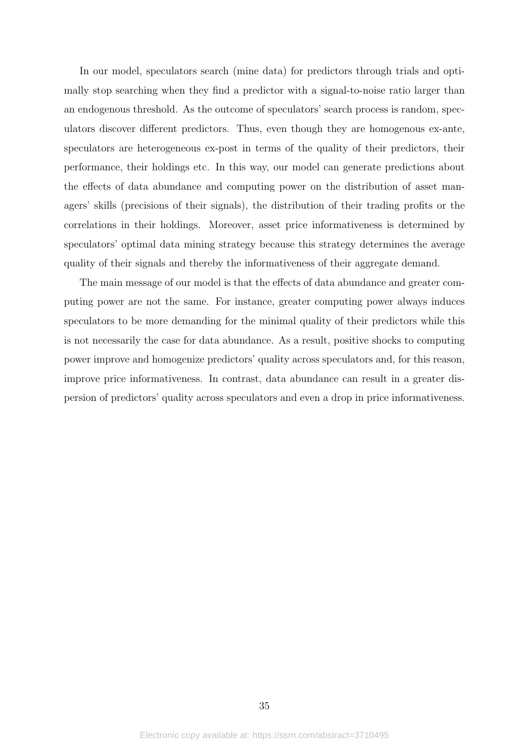In our model, speculators search (mine data) for predictors through trials and optimally stop searching when they find a predictor with a signal-to-noise ratio larger than an endogenous threshold. As the outcome of speculators' search process is random, speculators discover different predictors. Thus, even though they are homogenous ex-ante, speculators are heterogeneous ex-post in terms of the quality of their predictors, their performance, their holdings etc. In this way, our model can generate predictions about the effects of data abundance and computing power on the distribution of asset managers' skills (precisions of their signals), the distribution of their trading profits or the correlations in their holdings. Moreover, asset price informativeness is determined by speculators' optimal data mining strategy because this strategy determines the average quality of their signals and thereby the informativeness of their aggregate demand.

The main message of our model is that the effects of data abundance and greater computing power are not the same. For instance, greater computing power always induces speculators to be more demanding for the minimal quality of their predictors while this is not necessarily the case for data abundance. As a result, positive shocks to computing power improve and homogenize predictors' quality across speculators and, for this reason, improve price informativeness. In contrast, data abundance can result in a greater dispersion of predictors' quality across speculators and even a drop in price informativeness.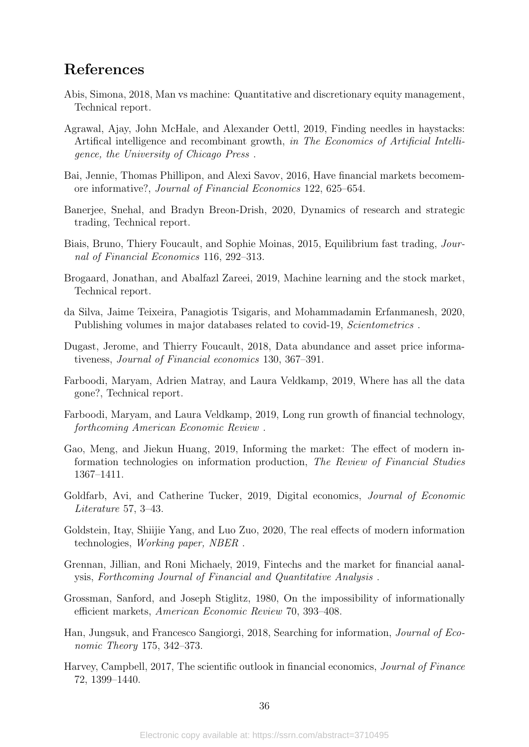# References

- <span id="page-36-1"></span>Abis, Simona, 2018, Man vs machine: Quantitative and discretionary equity management, Technical report.
- <span id="page-36-11"></span>Agrawal, Ajay, John McHale, and Alexander Oettl, 2019, Finding needles in haystacks: Artifical intelligence and recombinant growth, in The Economics of Artificial Intelligence, the University of Chicago Press .
- <span id="page-36-13"></span>Bai, Jennie, Thomas Phillipon, and Alexi Savov, 2016, Have financial markets becomemore informative?, Journal of Financial Economics 122, 625–654.
- <span id="page-36-7"></span>Banerjee, Snehal, and Bradyn Breon-Drish, 2020, Dynamics of research and strategic trading, Technical report.
- <span id="page-36-16"></span>Biais, Bruno, Thiery Foucault, and Sophie Moinas, 2015, Equilibrium fast trading, Journal of Financial Economics 116, 292–313.
- <span id="page-36-5"></span>Brogaard, Jonathan, and Abalfazl Zareei, 2019, Machine learning and the stock market, Technical report.
- <span id="page-36-4"></span>da Silva, Jaime Teixeira, Panagiotis Tsigaris, and Mohammadamin Erfanmanesh, 2020, Publishing volumes in major databases related to covid-19, Scientometrics.
- <span id="page-36-9"></span>Dugast, Jerome, and Thierry Foucault, 2018, Data abundance and asset price informativeness, Journal of Financial economics 130, 367–391.
- <span id="page-36-14"></span>Farboodi, Maryam, Adrien Matray, and Laura Veldkamp, 2019, Where has all the data gone?, Technical report.
- <span id="page-36-10"></span>Farboodi, Maryam, and Laura Veldkamp, 2019, Long run growth of financial technology, forthcoming American Economic Review .
- <span id="page-36-6"></span>Gao, Meng, and Jiekun Huang, 2019, Informing the market: The effect of modern information technologies on information production, The Review of Financial Studies 1367–1411.
- <span id="page-36-0"></span>Goldfarb, Avi, and Catherine Tucker, 2019, Digital economics, Journal of Economic Literature 57, 3–43.
- <span id="page-36-15"></span>Goldstein, Itay, Shiijie Yang, and Luo Zuo, 2020, The real effects of modern information technologies, Working paper, NBER .
- <span id="page-36-2"></span>Grennan, Jillian, and Roni Michaely, 2019, Fintechs and the market for financial aanalysis, Forthcoming Journal of Financial and Quantitative Analysis .
- <span id="page-36-3"></span>Grossman, Sanford, and Joseph Stiglitz, 1980, On the impossibility of informationally efficient markets, American Economic Review 70, 393–408.
- <span id="page-36-8"></span>Han, Jungsuk, and Francesco Sangiorgi, 2018, Searching for information, Journal of Economic Theory 175, 342–373.
- <span id="page-36-12"></span>Harvey, Campbell, 2017, The scientific outlook in financial economics, Journal of Finance 72, 1399–1440.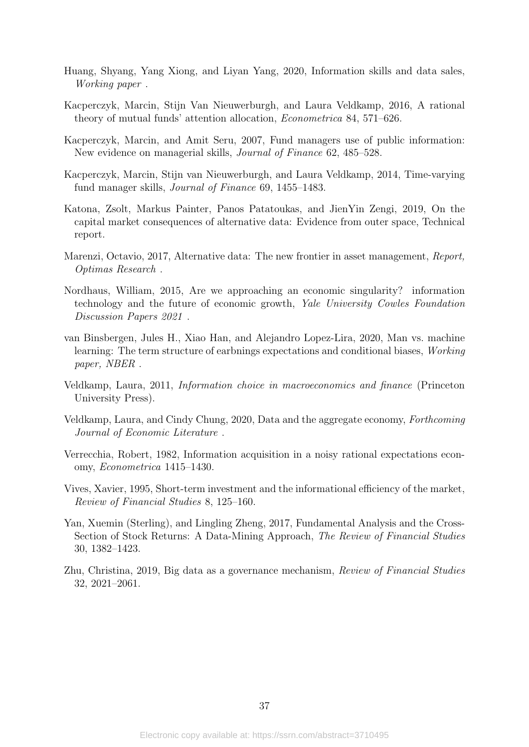- <span id="page-37-12"></span>Huang, Shyang, Yang Xiong, and Liyan Yang, 2020, Information skills and data sales, Working paper .
- <span id="page-37-13"></span>Kacperczyk, Marcin, Stijn Van Nieuwerburgh, and Laura Veldkamp, 2016, A rational theory of mutual funds' attention allocation, Econometrica 84, 571–626.
- <span id="page-37-8"></span>Kacperczyk, Marcin, and Amit Seru, 2007, Fund managers use of public information: New evidence on managerial skills, Journal of Finance 62, 485–528.
- <span id="page-37-9"></span>Kacperczyk, Marcin, Stijn van Nieuwerburgh, and Laura Veldkamp, 2014, Time-varying fund manager skills, Journal of Finance 69, 1455–1483.
- <span id="page-37-5"></span>Katona, Zsolt, Markus Painter, Panos Patatoukas, and JienYin Zengi, 2019, On the capital market consequences of alternative data: Evidence from outer space, Technical report.
- <span id="page-37-2"></span>Marenzi, Octavio, 2017, Alternative data: The new frontier in asset management, Report, Optimas Research .
- <span id="page-37-1"></span>Nordhaus, William, 2015, Are we approaching an economic singularity? information technology and the future of economic growth, Yale University Cowles Foundation Discussion Papers 2021 .
- <span id="page-37-7"></span>van Binsbergen, Jules H., Xiao Han, and Alejandro Lopez-Lira, 2020, Man vs. machine learning: The term structure of earbnings expectations and conditional biases, Working paper, NBER .
- <span id="page-37-10"></span>Veldkamp, Laura, 2011, Information choice in macroeconomics and finance (Princeton University Press).
- <span id="page-37-11"></span>Veldkamp, Laura, and Cindy Chung, 2020, Data and the aggregate economy, Forthcoming Journal of Economic Literature .
- <span id="page-37-0"></span>Verrecchia, Robert, 1982, Information acquisition in a noisy rational expectations economy, Econometrica 1415–1430.
- <span id="page-37-3"></span>Vives, Xavier, 1995, Short-term investment and the informational efficiency of the market, Review of Financial Studies 8, 125–160.
- <span id="page-37-4"></span>Yan, Xuemin (Sterling), and Lingling Zheng, 2017, Fundamental Analysis and the Cross-Section of Stock Returns: A Data-Mining Approach, The Review of Financial Studies 30, 1382–1423.
- <span id="page-37-6"></span>Zhu, Christina, 2019, Big data as a governance mechanism, Review of Financial Studies 32, 2021–2061.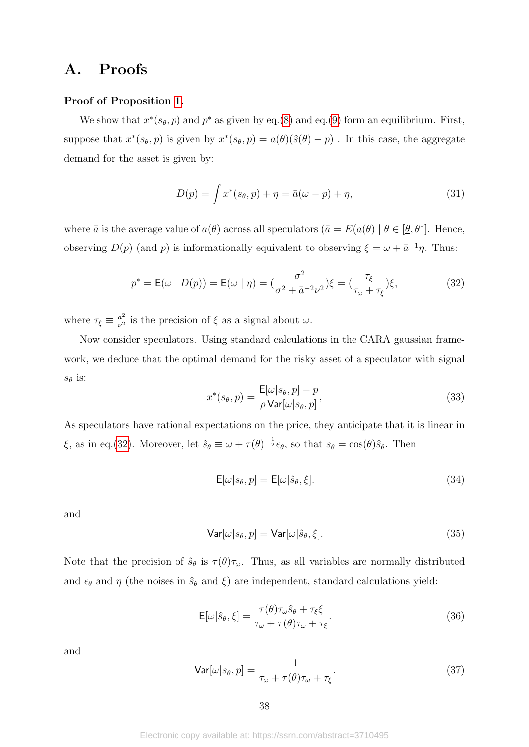# A. Proofs

## Proof of Proposition [1.](#page-15-1)

We show that  $x^*(s_{\theta}, p)$  and  $p^*$  as given by eq.[\(8\)](#page-15-2) and eq.[\(9\)](#page-15-3) form an equilibrium. First, suppose that  $x^*(s_{\theta}, p)$  is given by  $x^*(s_{\theta}, p) = a(\theta)(\hat{s}(\theta) - p)$ . In this case, the aggregate demand for the asset is given by:

$$
D(p) = \int x^*(s_\theta, p) + \eta = \bar{a}(\omega - p) + \eta,
$$
\n(31)

where  $\bar{a}$  is the average value of  $a(\theta)$  across all speculators  $(\bar{a} = E(a(\theta) | \theta \in [\theta, \theta^*])$ . Hence, observing  $D(p)$  (and  $p$ ) is informationally equivalent to observing  $\xi = \omega + \bar{a}^{-1}\eta$ . Thus:

<span id="page-38-0"></span>
$$
p^* = \mathsf{E}(\omega \mid D(p)) = \mathsf{E}(\omega \mid \eta) = (\frac{\sigma^2}{\sigma^2 + \bar{a}^{-2}\nu^2})\xi = (\frac{\tau_{\xi}}{\tau_{\omega} + \tau_{\xi}})\xi,
$$
(32)

where  $\tau_{\xi} \equiv \frac{\bar{a}^2}{\nu^2}$  $\frac{\bar{a}^2}{\nu^2}$  is the precision of  $\xi$  as a signal about *ω*.

Now consider speculators. Using standard calculations in the CARA gaussian framework, we deduce that the optimal demand for the risky asset of a speculator with signal  $s_{\theta}$  is:

<span id="page-38-1"></span>
$$
x^*(s_\theta, p) = \frac{\mathsf{E}[\omega|s_\theta, p] - p}{\rho \text{Var}[\omega|s_\theta, p]},
$$
\n(33)

As speculators have rational expectations on the price, they anticipate that it is linear in *ξ*, as in eq.[\(32\)](#page-38-0). Moreover, let  $\hat{s}_{\theta} \equiv \omega + \tau(\theta)^{-\frac{1}{2}} \epsilon_{\theta}$ , so that  $s_{\theta} = \cos(\theta)\hat{s}_{\theta}$ . Then

$$
\mathsf{E}[\omega|s_{\theta},p] = \mathsf{E}[\omega|\hat{s}_{\theta},\xi].\tag{34}
$$

and

$$
\mathsf{Var}[\omega|s_{\theta}, p] = \mathsf{Var}[\omega|\hat{s}_{\theta}, \xi].\tag{35}
$$

Note that the precision of  $\hat{s}_{\theta}$  is  $\tau(\theta)\tau_{\omega}$ . Thus, as all variables are normally distributed and  $\epsilon_{\theta}$  and  $\eta$  (the noises in  $\hat{s}_{\theta}$  and  $\xi$ ) are independent, standard calculations yield:

$$
\mathsf{E}[\omega|\hat{s}_{\theta}, \xi] = \frac{\tau(\theta)\tau_{\omega}\hat{s}_{\theta} + \tau_{\xi}\xi}{\tau_{\omega} + \tau(\theta)\tau_{\omega} + \tau_{\xi}}.
$$
\n(36)

and

<span id="page-38-2"></span>
$$
\text{Var}[\omega|s_{\theta}, p] = \frac{1}{\tau_{\omega} + \tau(\theta)\tau_{\omega} + \tau_{\xi}}.
$$
\n(37)

Electronic copy available at: https://ssrn.com/abstract=3710495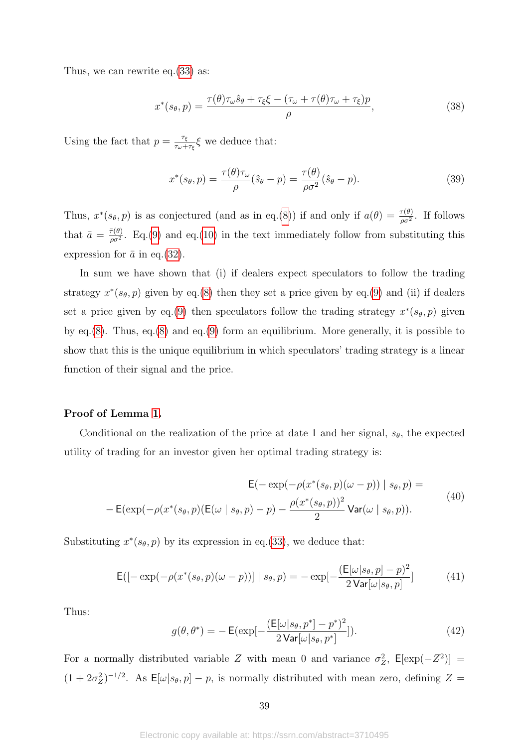Thus, we can rewrite eq.[\(33\)](#page-38-1) as:

$$
x^*(s_\theta, p) = \frac{\tau(\theta)\tau_\omega \hat{s}_\theta + \tau_\xi \xi - (\tau_\omega + \tau(\theta)\tau_\omega + \tau_\xi)p}{\rho},\tag{38}
$$

Using the fact that  $p = \frac{\tau_{\xi}}{\tau_{\xi}}$ *τ*<sub>*ω*+*τ*<sub>*ξ*</sub></sub> $\xi$  we deduce that:

<span id="page-39-0"></span>
$$
x^*(s_\theta, p) = \frac{\tau(\theta)\tau_\omega}{\rho}(\hat{s}_\theta - p) = \frac{\tau(\theta)}{\rho\sigma^2}(\hat{s}_\theta - p). \tag{39}
$$

Thus,  $x^*(s_{\theta}, p)$  is as conjectured (and as in eq.[\(8\)](#page-15-2)) if and only if  $a(\theta) = \frac{\tau(\theta)}{\rho \sigma^2}$ . If follows that  $\bar{a} = \frac{\bar{\tau}(\theta)}{g\sigma^2}$  $\frac{\tau(\theta)}{\rho \sigma^2}$ . Eq.[\(9\)](#page-15-3) and eq.[\(10\)](#page-15-4) in the text immediately follow from substituting this expression for  $\bar{a}$  in eq.[\(32\)](#page-38-0).

In sum we have shown that (i) if dealers expect speculators to follow the trading strategy  $x^*(s_{\theta}, p)$  given by eq.[\(8\)](#page-15-2) then they set a price given by eq.[\(9\)](#page-15-3) and (ii) if dealers set a price given by eq.[\(9\)](#page-15-3) then speculators follow the trading strategy  $x^*(s_{\theta}, p)$  given by eq.[\(8\)](#page-15-2). Thus, eq.[\(8\)](#page-15-2) and eq.[\(9\)](#page-15-3) form an equilibrium. More generally, it is possible to show that this is the unique equilibrium in which speculators' trading strategy is a linear function of their signal and the price.

## Proof of Lemma [1.](#page-16-1)

Conditional on the realization of the price at date 1 and her signal,  $s_{\theta}$ , the expected utility of trading for an investor given her optimal trading strategy is:

$$
\mathsf{E}(-\exp(-\rho(x^*(s_{\theta}, p)(\omega - p)) | s_{\theta}, p) =
$$
  

$$
-\mathsf{E}(\exp(-\rho(x^*(s_{\theta}, p)(\mathsf{E}(\omega | s_{\theta}, p) - p) - \frac{\rho(x^*(s_{\theta}, p))^2}{2} \mathsf{Var}(\omega | s_{\theta}, p)).
$$
 (40)

Substituting  $x^*(s_{\theta}, p)$  by its expression in eq.[\(33\)](#page-38-1), we deduce that:

$$
E([-\exp(-\rho(x^*(s_{\theta}, p)(\omega - p))] \mid s_{\theta}, p) = -\exp[-\frac{(E[\omega|s_{\theta}, p] - p)^2}{2 \text{Var}[\omega|s_{\theta}, p]}]
$$
(41)

Thus:

$$
g(\theta, \theta^*) = -\mathsf{E}(\exp[-\frac{(\mathsf{E}[\omega|s_{\theta}, p^*]-p^*)^2}{2\mathsf{Var}[\omega|s_{\theta}, p^*]})].\tag{42}
$$

For a normally distributed variable *Z* with mean 0 and variance  $\sigma_Z^2$ ,  $\mathsf{E}[\exp(-Z^2)]$  =  $(1 + 2\sigma_Z^2)^{-1/2}$ . As  $\mathsf{E}[\omega|s_\theta, p] - p$ , is normally distributed with mean zero, defining  $Z =$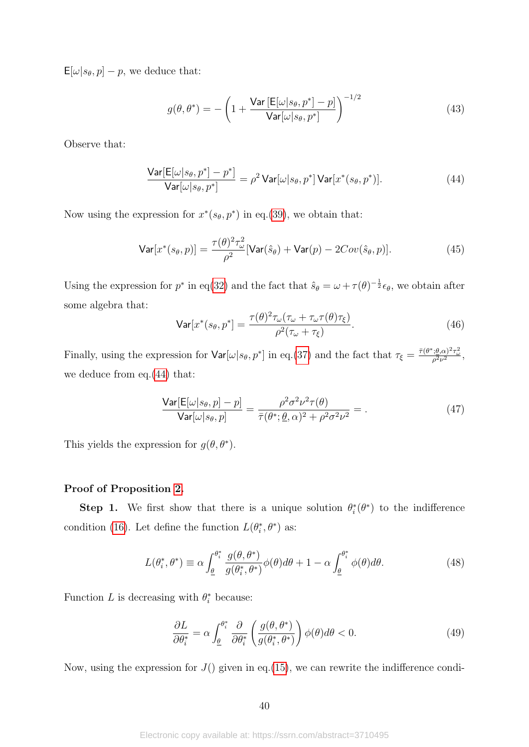$\mathsf{E}[\omega|s_{\theta}, p] - p$ , we deduce that:

$$
g(\theta, \theta^*) = -\left(1 + \frac{\text{Var}\left[\mathsf{E}[\omega|s_{\theta}, p^*]-p\right]}{\text{Var}[\omega|s_{\theta}, p^*]}\right)^{-1/2} \tag{43}
$$

Observe that:

<span id="page-40-0"></span>
$$
\frac{\text{Var}[E[\omega|s_{\theta}, p^*] - p^*]}{\text{Var}[\omega|s_{\theta}, p^*]} = \rho^2 \text{Var}[\omega|s_{\theta}, p^*] \text{Var}[x^*(s_{\theta}, p^*)].
$$
\n(44)

Now using the expression for  $x^*(s_{\theta}, p^*)$  in eq.[\(39\)](#page-39-0), we obtain that:

$$
\mathsf{Var}[x^*(s_\theta, p)] = \frac{\tau(\theta)^2 \tau_\omega^2}{\rho^2} [\mathsf{Var}(\hat{s}_\theta) + \mathsf{Var}(p) - 2Cov(\hat{s}_\theta, p)].\tag{45}
$$

Using the expression for  $p^*$  in eq[\(32\)](#page-38-0) and the fact that  $\hat{s}_{\theta} = \omega + \tau(\theta)^{-\frac{1}{2}} \epsilon_{\theta}$ , we obtain after some algebra that:

$$
\text{Var}[x^*(s_\theta, p^*] = \frac{\tau(\theta)^2 \tau_\omega(\tau_\omega + \tau_\omega \tau(\theta) \tau_\xi)}{\rho^2(\tau_\omega + \tau_\xi)}.\tag{46}
$$

Finally, using the expression for  $\text{Var}[\omega|s_{\theta}, p^*]$  in eq.[\(37\)](#page-38-2) and the fact that  $\tau_{\xi} = \frac{\bar{\tau}(\theta^*, \theta, \alpha)^2 \tau_{\omega}^2}{\rho^2 \nu^2}$ , we deduce from eq.[\(44\)](#page-40-0) that:

$$
\frac{\text{Var}[E[\omega|s_{\theta}, p] - p]}{\text{Var}[\omega|s_{\theta}, p]} = \frac{\rho^2 \sigma^2 \nu^2 \tau(\theta)}{\bar{\tau}(\theta^*; \underline{\theta}, \alpha)^2 + \rho^2 \sigma^2 \nu^2} = . \tag{47}
$$

This yields the expression for  $g(\theta, \theta^*)$ .

#### Proof of Proposition [2.](#page-18-0)

**Step 1.** We first show that there is a unique solution  $\theta_i^*(\theta^*)$  to the indifference condition [\(16\)](#page-17-2). Let define the function  $L(\theta_i^*, \theta^*)$  as:

<span id="page-40-1"></span>
$$
L(\theta_i^*, \theta^*) \equiv \alpha \int_{\underline{\theta}}^{\theta_i^*} \frac{g(\theta, \theta^*)}{g(\theta_i^*, \theta^*)} \phi(\theta) d\theta + 1 - \alpha \int_{\underline{\theta}}^{\theta_i^*} \phi(\theta) d\theta.
$$
 (48)

Function *L* is decreasing with  $\theta_i^*$  because:

<span id="page-40-2"></span>
$$
\frac{\partial L}{\partial \theta_i^*} = \alpha \int_{\underline{\theta}}^{\theta_i^*} \frac{\partial}{\partial \theta_i^*} \left( \frac{g(\theta, \theta^*)}{g(\theta_i^*, \theta^*)} \right) \phi(\theta) d\theta < 0. \tag{49}
$$

Now, using the expression for  $J()$  given in eq.[\(15\)](#page-17-1), we can rewrite the indifference condi-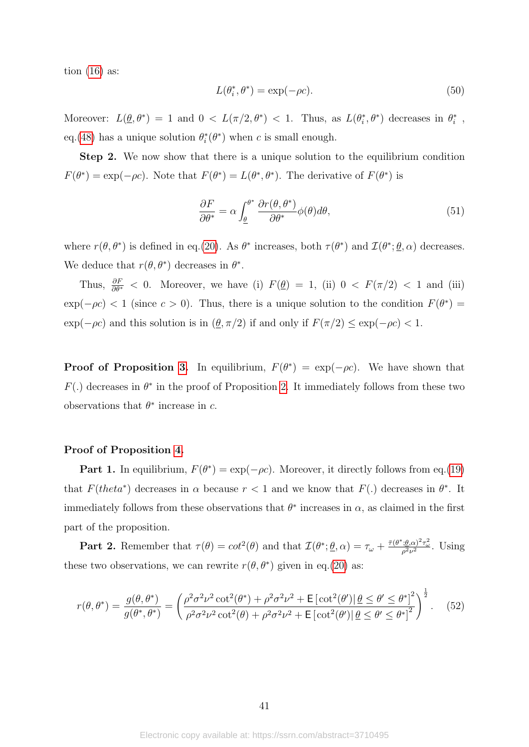tion  $(16)$  as:

$$
L(\theta_i^*, \theta^*) = \exp(-\rho c). \tag{50}
$$

Moreover:  $L(\underline{\theta}, \theta^*) = 1$  and  $0 < L(\pi/2, \theta^*) < 1$ . Thus, as  $L(\theta_i^*, \theta^*)$  decreases in  $\theta_i^*$ , eq.[\(48\)](#page-40-1) has a unique solution  $\theta_i^*(\theta^*)$  when *c* is small enough.

Step 2. We now show that there is a unique solution to the equilibrium condition  $F(\theta^*) = \exp(-\rho c)$ . Note that  $F(\theta^*) = L(\theta^*, \theta^*)$ . The derivative of  $F(\theta^*)$  is

$$
\frac{\partial F}{\partial \theta^*} = \alpha \int_{\underline{\theta}}^{\theta^*} \frac{\partial r(\theta, \theta^*)}{\partial \theta^*} \phi(\theta) d\theta,\tag{51}
$$

where  $r(\theta, \theta^*)$  is defined in eq.[\(20\)](#page-18-1). As  $\theta^*$  increases, both  $\tau(\theta^*)$  and  $\mathcal{I}(\theta^*; \underline{\theta}, \alpha)$  decreases. We deduce that  $r(\theta, \theta^*)$  decreases in  $\theta^*$ .

Thus,  $\frac{\partial F}{\partial \theta^*}$  *<* 0. Moreover, we have (i)  $F(\underline{\theta}) = 1$ , (ii) 0 *<*  $F(\pi/2)$  *<* 1 and (iii)  $\exp(-\rho c)$  < 1 (since  $c > 0$ ). Thus, there is a unique solution to the condition  $F(\theta^*) =$ exp( $-\rho c$ ) and this solution is in  $(\underline{\theta}, \pi/2)$  if and only if  $F(\pi/2) \leq \exp(-\rho c) < 1$ .

**Proof of Proposition [3.](#page-19-1)** In equilibrium,  $F(\theta^*) = \exp(-\rho c)$ . We have shown that  $F(.)$  decreases in  $\theta^*$  in the proof of Proposition [2.](#page-18-0) It immediately follows from these two observations that  $\theta^*$  increase in *c*.

#### Proof of Proposition [4.](#page-19-0)

**Part 1.** In equilibrium,  $F(\theta^*) = \exp(-\rho c)$ . Moreover, it directly follows from eq.[\(19\)](#page-18-3) that  $F(theta^*)$  decreases in  $\alpha$  because  $r < 1$  and we know that  $F(.)$  decreases in  $\theta^*$ . It immediately follows from these observations that  $\theta^*$  increases in  $\alpha$ , as claimed in the first part of the proposition.

**Part 2.** Remember that  $\tau(\theta) = \cot^2(\theta)$  and that  $\mathcal{I}(\theta^*; \underline{\theta}, \alpha) = \tau_{\omega} + \frac{\bar{\tau}(\theta^*, \theta, \alpha)^2 \tau_{\omega}^2}{\rho^2 \nu^2}$ . Using these two observations, we can rewrite  $r(\theta, \theta^*)$  given in eq.[\(20\)](#page-18-1) as:

<span id="page-41-0"></span>
$$
r(\theta, \theta^*) = \frac{g(\theta, \theta^*)}{g(\theta^*, \theta^*)} = \left(\frac{\rho^2 \sigma^2 \nu^2 \cot^2(\theta^*) + \rho^2 \sigma^2 \nu^2 + \mathsf{E}\left[\cot^2(\theta')|\,\underline{\theta} \le \theta' \le \theta^*\right]^2}{\rho^2 \sigma^2 \nu^2 \cot^2(\theta) + \rho^2 \sigma^2 \nu^2 + \mathsf{E}\left[\cot^2(\theta')|\,\underline{\theta} \le \theta' \le \theta^*\right]^2}\right)^{\frac{1}{2}}.\tag{52}
$$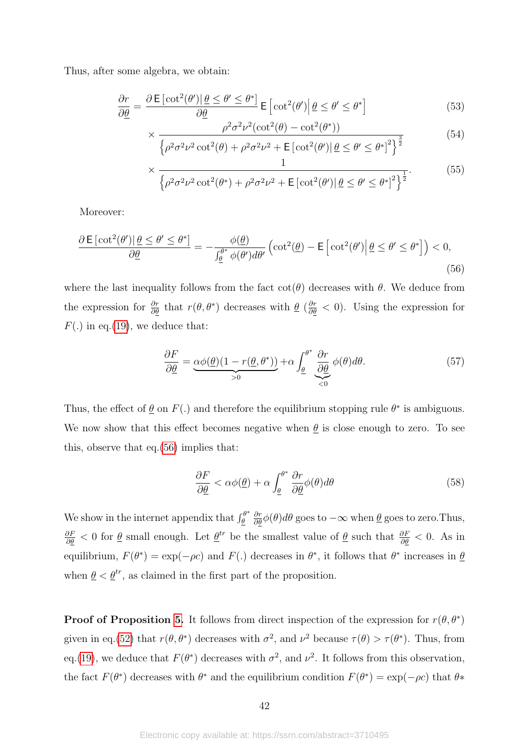Thus, after some algebra, we obtain:

$$
\frac{\partial r}{\partial \underline{\theta}} = \frac{\partial \mathsf{E}[\cot^2(\theta')|\underline{\theta} \le \theta' \le \theta^*]}{\partial \underline{\theta}} \mathsf{E}[\cot^2(\theta')|\underline{\theta} \le \theta' \le \theta^*]
$$
(53)

$$
\times \frac{\rho^2 \sigma^2 \nu^2 (\cot^2(\theta) - \cot^2(\theta^*))}{\left\{\rho^2 \sigma^2 \nu^2 \cot^2(\theta) + \rho^2 \sigma^2 \nu^2 + \mathsf{E}\left[\cot^2(\theta')\middle|\,\underline{\theta} \leq \theta' \leq \theta^*\right]^2\right\}^{\frac{3}{2}}}
$$
(54)

$$
\frac{1}{1}
$$
 (55)

$$
\times \frac{1}{\left\{\rho^2 \sigma^2 \nu^2 \cot^2(\theta^*) + \rho^2 \sigma^2 \nu^2 + \mathsf{E}\left[\cot^2(\theta')\middle|\,\underline{\theta} \leq \theta' \leq \theta^*\right]^2\right\}^{\frac{1}{2}}}.
$$
(55)

Moreover:

<span id="page-42-0"></span>
$$
\frac{\partial \mathsf{E}\left[\cot^{2}(\theta')|\,\underline{\theta} \leq \theta' \leq \theta^{*}\right]}{\partial \underline{\theta}} = -\frac{\phi(\underline{\theta})}{\int_{\underline{\theta}}^{\theta^{*}} \phi(\theta')d\theta'} \left(\cot^{2}(\underline{\theta}) - \mathsf{E}\left[\cot^{2}(\theta')|\,\underline{\theta} \leq \theta' \leq \theta^{*}\right]\right) < 0,
$$
\n(56)

where the last inequality follows from the fact  $\cot(\theta)$  decreases with  $\theta$ . We deduce from the expression for  $\frac{\partial r}{\partial \theta}$  that  $r(\theta, \theta^*)$  decreases with  $\underline{\theta}$  ( $\frac{\partial r}{\partial \theta}$  < 0). Using the expression for  $F(.)$  in eq.[\(19\)](#page-18-3), we deduce that:

$$
\frac{\partial F}{\partial \underline{\theta}} = \underbrace{\alpha \phi(\underline{\theta})(1 - r(\underline{\theta}, \theta^*))}_{>0} + \alpha \int_{\underline{\theta}}^{\theta^*} \underbrace{\frac{\partial r}{\partial \underline{\theta}}}_{<0} \phi(\theta) d\theta. \tag{57}
$$

Thus, the effect of  $\underline{\theta}$  on  $F(.)$  and therefore the equilibrium stopping rule  $\theta^*$  is ambiguous. We now show that this effect becomes negative when  $\theta$  is close enough to zero. To see this, observe that eq.[\(56\)](#page-42-0) implies that:

$$
\frac{\partial F}{\partial \underline{\theta}} < \alpha \phi(\underline{\theta}) + \alpha \int_{\underline{\theta}}^{\theta^*} \frac{\partial r}{\partial \underline{\theta}} \phi(\theta) d\theta \tag{58}
$$

We show in the internet appendix that  $\int_{\theta}^{\theta^*}$ *θ ∂r ∂θφ*(*θ*)*dθ* goes to −∞ when *θ* goes to zero.Thus,  $\frac{\partial F}{\partial \theta}$  < 0 for  $\theta$  small enough. Let  $\theta^{tr}$  be the smallest value of  $\theta$  such that  $\frac{\partial F}{\partial \theta}$  < 0. As in equilibrium,  $F(\theta^*) = \exp(-\rho c)$  and  $F(.)$  decreases in  $\theta^*$ , it follows that  $\theta^*$  increases in  $\underline{\theta}$ when  $\underline{\theta} < \underline{\theta}^{tr}$ , as claimed in the first part of the proposition.

**Proof of Proposition [5.](#page-22-1)** It follows from direct inspection of the expression for  $r(\theta, \theta^*)$ given in eq.[\(52\)](#page-41-0) that  $r(\theta, \theta^*)$  decreases with  $\sigma^2$ , and  $\nu^2$  because  $\tau(\theta) > \tau(\theta^*)$ . Thus, from eq.[\(19\)](#page-18-3), we deduce that  $F(\theta^*)$  decreases with  $\sigma^2$ , and  $\nu^2$ . It follows from this observation, the fact  $F(\theta^*)$  decreases with  $\theta^*$  and the equilibrium condition  $F(\theta^*) = \exp(-\rho c)$  that  $\theta^*$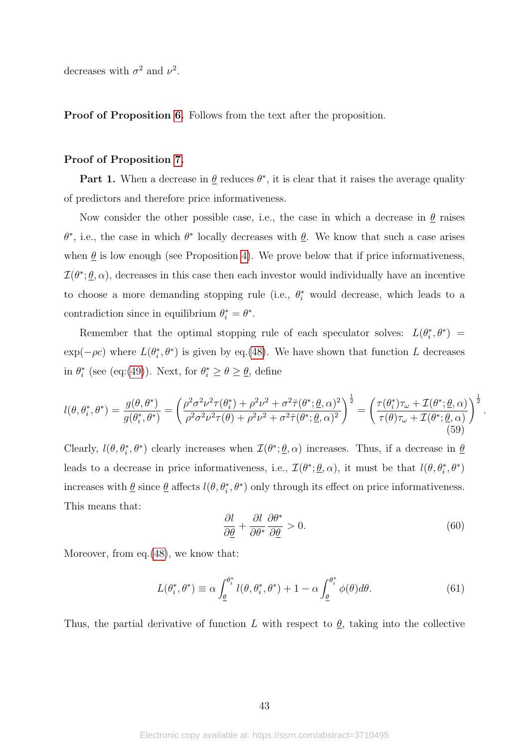decreases with  $\sigma^2$  and  $\nu^2$ .

Proof of Proposition [6.](#page-24-1) Follows from the text after the proposition.

## Proof of Proposition [7.](#page-24-2)

Part 1. When a decrease in  $\theta$  reduces  $\theta^*$ , it is clear that it raises the average quality of predictors and therefore price informativeness.

Now consider the other possible case, i.e., the case in which a decrease in  $\theta$  raises  $\theta^*$ , i.e., the case in which  $\theta^*$  locally decreases with  $\underline{\theta}$ . We know that such a case arises when  $\theta$  is low enough (see Proposition [4\)](#page-19-0). We prove below that if price informativeness,  $\mathcal{I}(\theta^*, \underline{\theta}, \alpha)$ , decreases in this case then each investor would individually have an incentive to choose a more demanding stopping rule (i.e.,  $θ_i^*$  would decrease, which leads to a contradiction since in equilibrium  $\theta_i^* = \theta^*$ .

Remember that the optimal stopping rule of each speculator solves:  $L(\theta_i^*, \theta^*)$  =  $\exp(-\rho c)$  where  $L(\theta_i^*, \theta^*)$  is given by eq.[\(48\)](#page-40-1). We have shown that function *L* decreases in  $\theta_i^*$  (see (eq:[\(49\)](#page-40-2)). Next, for  $\theta_i^* \ge \theta \ge \underline{\theta}$ , define

$$
l(\theta, \theta_i^*, \theta^*) = \frac{g(\theta, \theta^*)}{g(\theta_i^*, \theta^*)} = \left(\frac{\rho^2 \sigma^2 \nu^2 \tau(\theta_i^*) + \rho^2 \nu^2 + \sigma^2 \bar{\tau}(\theta^*, \underline{\theta}, \alpha)^2}{\rho^2 \sigma^2 \nu^2 \tau(\theta) + \rho^2 \nu^2 + \sigma^2 \bar{\tau}(\theta^*, \underline{\theta}, \alpha)^2}\right)^{\frac{1}{2}} = \left(\frac{\tau(\theta_i^*) \tau_\omega + \mathcal{I}(\theta^*, \underline{\theta}, \alpha)}{\tau(\theta) \tau_\omega + \mathcal{I}(\theta^*, \underline{\theta}, \alpha)}\right)^{\frac{1}{2}} \tag{59}
$$

Clearly,  $l(\theta, \theta_i^*, \theta^*)$  clearly increases when  $\mathcal{I}(\theta^*; \underline{\theta}, \alpha)$  increases. Thus, if a decrease in  $\underline{\theta}$ leads to a decrease in price informativeness, i.e.,  $\mathcal{I}(\theta^*; \underline{\theta}, \alpha)$ , it must be that  $l(\theta, \theta_i^*, \theta^*)$ increases with  $\underline{\theta}$  since  $\underline{\theta}$  affects  $l(\theta, \theta_i^*, \theta^*)$  only through its effect on price informativeness. This means that:

<span id="page-43-0"></span>
$$
\frac{\partial l}{\partial \underline{\theta}} + \frac{\partial l}{\partial \theta^*} \frac{\partial \theta^*}{\partial \underline{\theta}} > 0.
$$
\n(60)

*.*

Moreover, from eq.[\(48\)](#page-40-1), we know that:

$$
L(\theta_i^*, \theta^*) \equiv \alpha \int_{\underline{\theta}}^{\theta_i^*} l(\theta, \theta_i^*, \theta^*) + 1 - \alpha \int_{\underline{\theta}}^{\theta_i^*} \phi(\theta) d\theta.
$$
 (61)

Thus, the partial derivative of function *L* with respect to  $\theta$ , taking into the collective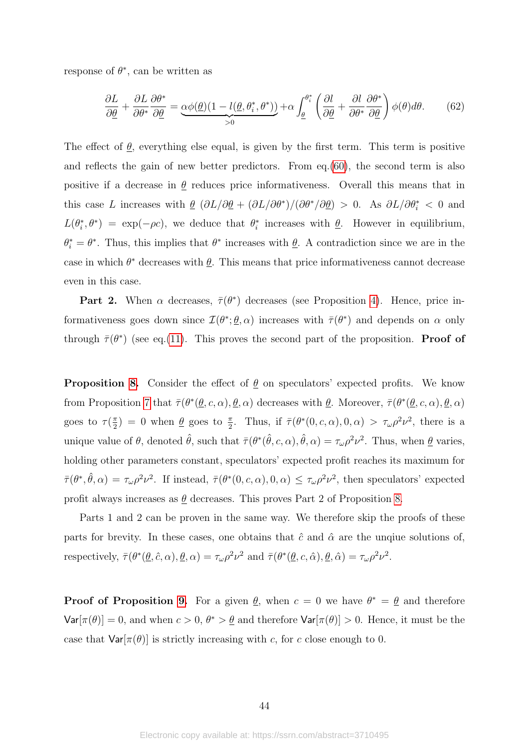response of  $\theta^*$ , can be written as

$$
\frac{\partial L}{\partial \underline{\theta}} + \frac{\partial L}{\partial \theta^*} \frac{\partial \theta^*}{\partial \underline{\theta}} = \underbrace{\alpha \phi(\underline{\theta})(1 - l(\underline{\theta}, \theta_i^*, \theta^*))}_{>0} + \alpha \int_{\underline{\theta}}^{\theta_i^*} \left( \frac{\partial l}{\partial \underline{\theta}} + \frac{\partial l}{\partial \theta^*} \frac{\partial \theta^*}{\partial \underline{\theta}} \right) \phi(\theta) d\theta. \tag{62}
$$

The effect of  $\underline{\theta}$ , everything else equal, is given by the first term. This term is positive and reflects the gain of new better predictors. From eq.[\(60\)](#page-43-0), the second term is also positive if a decrease in  $\theta$  reduces price informativeness. Overall this means that in this case *L* increases with  $\underline{\theta}$   $(\partial L/\partial \underline{\theta} + (\partial L/\partial \theta^*)/(\partial \theta^*/\partial \underline{\theta}) > 0$ . As  $\partial L/\partial \theta_i^* < 0$  and  $L(\theta_i^*, \theta^*) = \exp(-\rho c)$ , we deduce that  $\theta_i^*$  increases with  $\underline{\theta}$ . However in equilibrium,  $\theta_i^* = \theta^*$ . Thus, this implies that  $\theta^*$  increases with  $\underline{\theta}$ . A contradiction since we are in the case in which  $\theta^*$  decreases with  $\underline{\theta}$ . This means that price informativeness cannot decrease even in this case.

**Part 2.** When  $\alpha$  decreases,  $\bar{\tau}(\theta^*)$  decreases (see Proposition [4\)](#page-19-0). Hence, price informativeness goes down since  $\mathcal{I}(\theta^*; \underline{\theta}, \alpha)$  increases with  $\bar{\tau}(\theta^*)$  and depends on  $\alpha$  only through  $\bar{\tau}(\theta^*)$  (see eq.[\(11\)](#page-16-3). This proves the second part of the proposition. **Proof of** 

**Proposition [8.](#page-27-3)** Consider the effect of  $\theta$  on speculators' expected profits. We know from Proposition [7](#page-24-2) that  $\bar{\tau}(\theta^*(\underline{\theta}, c, \alpha), \underline{\theta}, \alpha)$  decreases with  $\underline{\theta}$ . Moreover,  $\bar{\tau}(\theta^*(\underline{\theta}, c, \alpha), \underline{\theta}, \alpha)$ goes to  $\tau(\frac{\pi}{2})$  $\frac{\pi}{2}$  = 0 when <u> $\theta$ </u> goes to  $\frac{\pi}{2}$ . Thus, if  $\bar{\tau}(\theta^*(0, c, \alpha), 0, \alpha) > \tau_{\omega} \rho^2 \nu^2$ , there is a unique value of  $\theta$ , denoted  $\hat{\theta}$ , such that  $\bar{\tau}(\theta^*(\hat{\theta}, c, \alpha), \hat{\theta}, \alpha) = \tau_{\omega} \rho^2 \nu^2$ . Thus, when  $\underline{\theta}$  varies, holding other parameters constant, speculators' expected profit reaches its maximum for  $\bar{\tau}(\theta^*,\hat{\theta},\alpha) = \tau_{\omega}\rho^2\nu^2$ . If instead,  $\bar{\tau}(\theta^*(0,c,\alpha),0,\alpha) \leq \tau_{\omega}\rho^2\nu^2$ , then speculators' expected profit always increases as  $\theta$  decreases. This proves Part 2 of Proposition [8.](#page-27-3)

Parts 1 and 2 can be proven in the same way. We therefore skip the proofs of these parts for brevity. In these cases, one obtains that  $\hat{c}$  and  $\hat{\alpha}$  are the unque solutions of, respectively,  $\bar{\tau}(\theta^*(\underline{\theta}, \hat{c}, \alpha), \underline{\theta}, \alpha) = \tau_{\omega} \rho^2 \nu^2$  and  $\bar{\tau}(\theta^*(\underline{\theta}, c, \hat{\alpha}), \underline{\theta}, \hat{\alpha}) = \tau_{\omega} \rho^2 \nu^2$ .

**Proof of Proposition [9.](#page-29-0)** For a given  $\theta$ , when  $c = 0$  we have  $\theta^* = \theta$  and therefore  $Var[\pi(\theta)] = 0$ , and when  $c > 0$ ,  $\theta^* > \theta$  and therefore  $Var[\pi(\theta)] > 0$ . Hence, it must be the case that  $Var[\pi(\theta)]$  is strictly increasing with *c*, for *c* close enough to 0.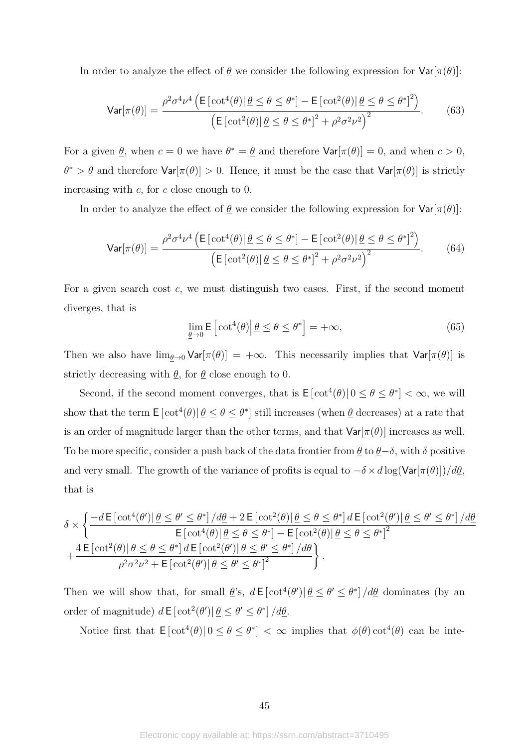In order to analyze the effect of  $\theta$  we consider the following expression for  $\text{Var}[\pi(\theta)]$ :

$$
\text{Var}[\pi(\theta)] = \frac{\rho^2 \sigma^4 \nu^4 \left( \mathsf{E}\left[\cot^4(\theta)\middle|\,\underline{\theta} \le \theta \le \theta^*\right] - \mathsf{E}\left[\cot^2(\theta)\middle|\,\underline{\theta} \le \theta \le \theta^*\right]^2 \right)}{\left(\mathsf{E}\left[\cot^2(\theta)\middle|\,\underline{\theta} \le \theta \le \theta^*\right]^2 + \rho^2 \sigma^2 \nu^2\right)^2}.\tag{63}
$$

For a given  $\underline{\theta}$ , when  $c = 0$  we have  $\theta^* = \underline{\theta}$  and therefore  $\text{Var}[\pi(\theta)] = 0$ , and when  $c > 0$ ,  $\theta^* > \theta$  and therefore  $\text{Var}[\pi(\theta)] > 0$ . Hence, it must be the case that  $\text{Var}[\pi(\theta)]$  is strictly increasing with *c*, for *c* close enough to 0.

In order to analyze the effect of  $\theta$  we consider the following expression for  $\text{Var}[\pi(\theta)]$ :

$$
\text{Var}[\pi(\theta)] = \frac{\rho^2 \sigma^4 \nu^4 \left( \mathsf{E}\left[\cot^4(\theta)\right] \underline{\theta} \le \theta \le \theta^* \right] - \mathsf{E}\left[\cot^2(\theta)\right] \underline{\theta} \le \theta \le \theta^* \right]^2}{\left( \mathsf{E}\left[\cot^2(\theta)\right] \underline{\theta} \le \theta \le \theta^* \right]^2 + \rho^2 \sigma^2 \nu^2 \right)^2}.
$$
 (64)

For a given search cost *c*, we must distinguish two cases. First, if the second moment diverges, that is

$$
\lim_{\underline{\theta}\to 0} \mathsf{E}\left[\cot^4(\theta)\middle|\,\underline{\theta}\leq\theta\leq\theta^*\right] = +\infty,\tag{65}
$$

Then we also have  $\lim_{\theta\to 0} \text{Var}[\pi(\theta)] = +\infty$ . This necessarily implies that  $\text{Var}[\pi(\theta)]$  is strictly decreasing with  $\theta$ , for  $\theta$  close enough to 0.

Second, if the second moment converges, that is  $\mathsf{E}\left[\cot^4(\theta)\middle|0\leq\theta\leq\theta^*\right]<\infty$ , we will show that the term  $E[\cot^4(\theta)|\theta \leq \theta \leq \theta^*]$  still increases (when  $\theta$  decreases) at a rate that is an order of magnitude larger than the other terms, and that  $Var[\pi(\theta)]$  increases as well. To be more specific, consider a push back of the data frontier from  $\underline{\theta}$  to  $\underline{\theta}-\delta$ , with  $\delta$  positive and very small. The growth of the variance of profits is equal to  $-\delta \times d \log(\text{Var}[\pi(\theta)])/d\underline{\theta}$ , that is

$$
\delta \times \left\{ \frac{-d \operatorname{E}[\cot^4(\theta')|\theta \le \theta' \le \theta^*] / d\theta + 2 \operatorname{E}[\cot^2(\theta)|\theta \le \theta \le \theta^*] d \operatorname{E}[\cot^2(\theta')|\theta \le \theta' \le \theta^*] / d\theta}{\operatorname{E}[\cot^4(\theta)|\theta \le \theta \le \theta^*] - \operatorname{E}[\cot^2(\theta)|\theta \le \theta \le \theta^*]^2} + \frac{4 \operatorname{E}[\cot^2(\theta)|\theta \le \theta \le \theta^*] d \operatorname{E}[\cot^2(\theta')|\theta \le \theta' \le \theta^*] / d\theta}{\rho^2 \sigma^2 \nu^2 + \operatorname{E}[\cot^2(\theta')|\theta \le \theta' \le \theta^*]^2} \right\}.
$$

Then we will show that, for small  $\theta$ 's,  $d \in [\cot^4(\theta') | \theta \leq \theta' \leq \theta^*] / d\theta$  dominates (by an order of magnitude)  $d \mathsf{E} [\cot^2(\theta') | \underline{\theta} \leq \theta' \leq \theta^*]/d\underline{\theta}$ .

Notice first that  $E[\cot^4(\theta)|0 \le \theta \le \theta^*] < \infty$  implies that  $\phi(\theta) \cot^4(\theta)$  can be inte-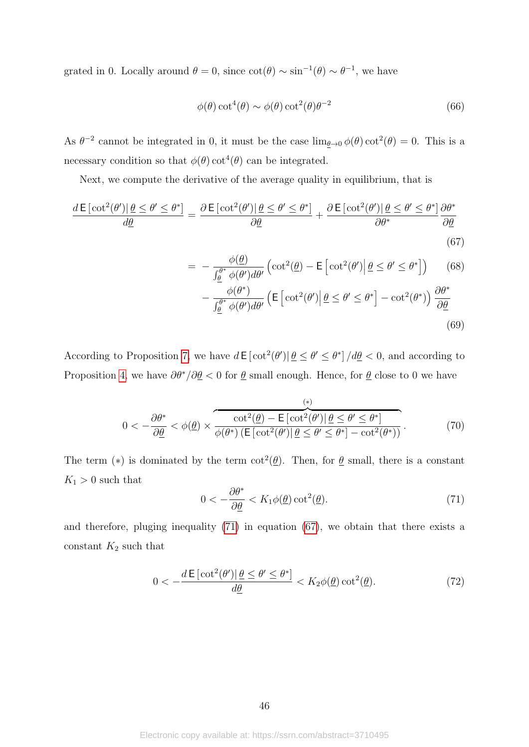grated in 0. Locally around  $\theta = 0$ , since  $\cot(\theta) \sim \sin^{-1}(\theta) \sim \theta^{-1}$ , we have

$$
\phi(\theta)\cot^4(\theta) \sim \phi(\theta)\cot^2(\theta)\theta^{-2}
$$
\n(66)

As  $\theta^{-2}$  cannot be integrated in 0, it must be the case  $\lim_{\theta \to 0} \phi(\theta) \cot^2(\theta) = 0$ . This is a necessary condition so that  $\phi(\theta)$  cot<sup>4</sup>( $\theta$ ) can be integrated.

Next, we compute the derivative of the average quality in equilibrium, that is

$$
\frac{d\,\mathsf{E}\left[\cot^2(\theta')|\,\underline{\theta}\leq\theta'\leq\theta^*\right]}{d\underline{\theta}}=\frac{\partial\,\mathsf{E}\left[\cot^2(\theta')|\,\underline{\theta}\leq\theta'\leq\theta^*\right]}{\partial\underline{\theta}}+\frac{\partial\,\mathsf{E}\left[\cot^2(\theta')|\,\underline{\theta}\leq\theta'\leq\theta^*\right]}{\partial\theta^*}\frac{\partial\theta^*}{\partial\underline{\theta}}\tag{67}
$$

$$
= -\frac{\phi(\underline{\theta})}{\int_{\underline{\theta}}^{\theta^*} \phi(\theta') d\theta'} \left( \cot^2(\underline{\theta}) - \mathsf{E} \left[ \cot^2(\theta') \middle| \underline{\theta} \le \theta' \le \theta^* \right] \right) \tag{68}
$$

<span id="page-46-1"></span>
$$
-\frac{\phi(\theta^*)}{\int_{\underline{\theta}}^{\theta^*} \phi(\theta') d\theta'} \left( \mathsf{E}\left[\cot^2(\theta') \middle| \underline{\theta} \le \theta' \le \theta^* \right] - \cot^2(\theta^*) \right) \frac{\partial \theta^*}{\partial \underline{\theta}} \tag{69}
$$

According to Proposition [7,](#page-24-2) we have  $d \mathsf{E}[\cot^2(\theta') | \underline{\theta} \leq \theta' \leq \theta^*]/d\underline{\theta} < 0$ , and according to Proposition [4,](#page-19-0) we have  $\partial \theta^*/\partial \underline{\theta} < 0$  for  $\underline{\theta}$  small enough. Hence, for  $\underline{\theta}$  close to 0 we have

$$
0 < -\frac{\partial \theta^*}{\partial \theta} < \phi(\underline{\theta}) \times \overbrace{\phi(\theta^*) \left( \mathsf{E}\left[\cot^2(\theta') \middle| \underline{\theta} \le \theta' \le \theta^* \right] - \cot^2(\theta^*) \right)}^{(\ast)}.
$$
\n
$$
(70)
$$

The term (\*) is dominated by the term  $\cot^2(\underline{\theta})$ . Then, for  $\underline{\theta}$  small, there is a constant  $K_1 > 0$  such that

<span id="page-46-0"></span>
$$
0 < -\frac{\partial \theta^*}{\partial \underline{\theta}} < K_1 \phi(\underline{\theta}) \cot^2(\underline{\theta}).\tag{71}
$$

and therefore, pluging inequality [\(71\)](#page-46-0) in equation [\(67\)](#page-46-1), we obtain that there exists a constant  $K_2$  such that

$$
0 < -\frac{d \mathsf{E}\left[\cot^2(\theta')|\,\underline{\theta} \le \theta' \le \theta^*\right]}{d\underline{\theta}} < K_2\phi(\underline{\theta})\cot^2(\underline{\theta}).\tag{72}
$$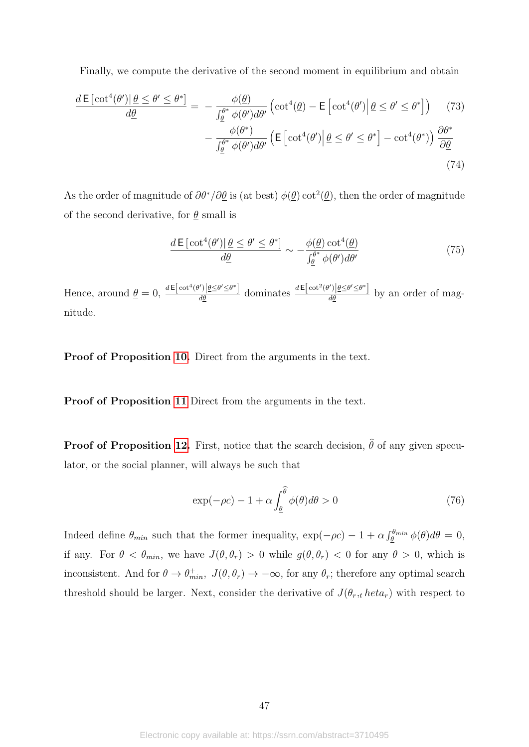Finally, we compute the derivative of the second moment in equilibrium and obtain

$$
\frac{d\mathsf{E}\left[\cot^{4}(\theta')|\,\underline{\theta}\leq\theta'\leq\theta^{*}\right]}{d\underline{\theta}}=-\frac{\phi(\underline{\theta})}{\int_{\underline{\theta}}^{\theta^{*}}\phi(\theta')d\theta'}\left(\cot^{4}(\underline{\theta})-\mathsf{E}\left[\cot^{4}(\theta')|\,\underline{\theta}\leq\theta'\leq\theta^{*}\right]\right) \quad (73)
$$

$$
-\frac{\phi(\theta^{*})}{\int_{\underline{\theta}}^{\theta^{*}}\phi(\theta')d\theta'}\left(\mathsf{E}\left[\cot^{4}(\theta')|\,\underline{\theta}\leq\theta'\leq\theta^{*}\right]-\cot^{4}(\theta^{*})\right)\frac{\partial\theta^{*}}{\partial\underline{\theta}} \tag{74}
$$

As the order of magnitude of  $\partial \theta^* / \partial \theta$  is (at best)  $\phi(\theta)$  cot<sup>2</sup>( $\theta$ ), then the order of magnitude of the second derivative, for  $\theta$  small is

$$
\frac{d\,\mathsf{E}\left[\cot^4(\theta')|\,\underline{\theta}\leq\theta'\leq\theta^*\right]}{d\underline{\theta}}\sim-\frac{\phi(\underline{\theta})\cot^4(\underline{\theta})}{\int_{\underline{\theta}}^{\theta^*}\phi(\theta')d\theta'}\tag{75}
$$

Hence, around  $\underline{\theta} = 0$ ,  $\frac{d\mathbf{E}\left[\cot^4(\theta')|\underline{\theta} \leq \theta' \leq \theta^* \right]}{d\theta}$  dominates  $\frac{d\mathbf{E}\left[\cot^2(\theta')|\underline{\theta} \leq \theta' \leq \theta^* \right]}{d\theta}$  by an order of magnitude.

Proof of Proposition [10.](#page-31-1) Direct from the arguments in the text.

Proof of Proposition [11](#page-32-0) Direct from the arguments in the text.

**Proof of Proposition [12.](#page-34-0)** First, notice that the search decision,  $\hat{\theta}$  of any given speculator, or the social planner, will always be such that

$$
\exp(-\rho c) - 1 + \alpha \int_{\underline{\theta}}^{\widehat{\theta}} \phi(\theta) d\theta > 0
$$
\n(76)

Indeed define  $\theta_{min}$  such that the former inequality,  $\exp(-\rho c) - 1 + \alpha \int_{\theta}^{\theta_{min}} \phi(\theta) d\theta = 0$ , if any. For  $\theta < \theta_{min}$ , we have  $J(\theta, \theta_r) > 0$  while  $g(\theta, \theta_r) < 0$  for any  $\theta > 0$ , which is inconsistent. And for  $\theta \to \theta_{min}^+$ ,  $J(\theta, \theta_r) \to -\infty$ , for any  $\theta_r$ ; therefore any optimal search threshold should be larger. Next, consider the derivative of  $J(\theta_r, t \text{ heta}_r)$  with respect to